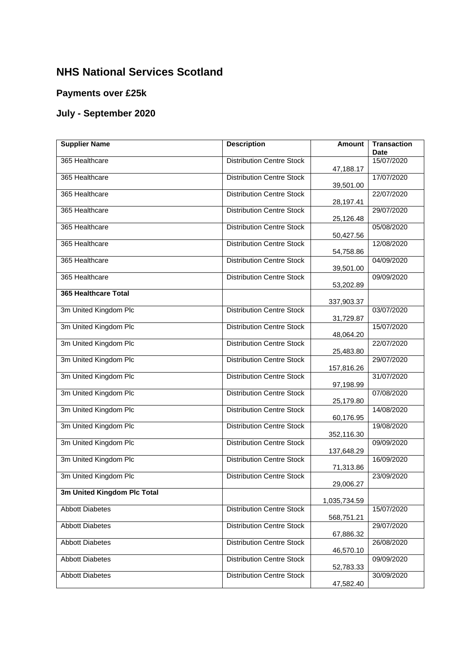## **NHS National Services Scotland**

## **Payments over £25k**

## **July - September 2020**

| <b>Supplier Name</b>        | <b>Description</b>               | <b>Amount</b> | <b>Transaction</b><br><b>Date</b> |
|-----------------------------|----------------------------------|---------------|-----------------------------------|
| 365 Healthcare              | <b>Distribution Centre Stock</b> | 47,188.17     | 15/07/2020                        |
| 365 Healthcare              | <b>Distribution Centre Stock</b> | 39,501.00     | 17/07/2020                        |
| 365 Healthcare              | <b>Distribution Centre Stock</b> | 28,197.41     | 22/07/2020                        |
| 365 Healthcare              | <b>Distribution Centre Stock</b> | 25,126.48     | 29/07/2020                        |
| 365 Healthcare              | <b>Distribution Centre Stock</b> | 50,427.56     | 05/08/2020                        |
| 365 Healthcare              | <b>Distribution Centre Stock</b> | 54,758.86     | 12/08/2020                        |
| 365 Healthcare              | <b>Distribution Centre Stock</b> | 39,501.00     | 04/09/2020                        |
| 365 Healthcare              | <b>Distribution Centre Stock</b> | 53,202.89     | 09/09/2020                        |
| 365 Healthcare Total        |                                  | 337,903.37    |                                   |
| 3m United Kingdom Plc       | <b>Distribution Centre Stock</b> | 31,729.87     | 03/07/2020                        |
| 3m United Kingdom Plc       | <b>Distribution Centre Stock</b> | 48,064.20     | 15/07/2020                        |
| 3m United Kingdom Plc       | <b>Distribution Centre Stock</b> | 25,483.80     | 22/07/2020                        |
| 3m United Kingdom Plc       | <b>Distribution Centre Stock</b> | 157,816.26    | 29/07/2020                        |
| 3m United Kingdom Plc       | <b>Distribution Centre Stock</b> | 97,198.99     | 31/07/2020                        |
| 3m United Kingdom Plc       | <b>Distribution Centre Stock</b> | 25,179.80     | 07/08/2020                        |
| 3m United Kingdom Plc       | <b>Distribution Centre Stock</b> | 60,176.95     | 14/08/2020                        |
| 3m United Kingdom Plc       | <b>Distribution Centre Stock</b> | 352,116.30    | 19/08/2020                        |
| 3m United Kingdom Plc       | <b>Distribution Centre Stock</b> | 137,648.29    | 09/09/2020                        |
| 3m United Kingdom Plc       | <b>Distribution Centre Stock</b> | 71,313.86     | 16/09/2020                        |
| 3m United Kingdom Plc       | <b>Distribution Centre Stock</b> | 29,006.27     | 23/09/2020                        |
| 3m United Kingdom Plc Total |                                  | 1,035,734.59  |                                   |
| <b>Abbott Diabetes</b>      | <b>Distribution Centre Stock</b> | 568,751.21    | 15/07/2020                        |
| <b>Abbott Diabetes</b>      | <b>Distribution Centre Stock</b> | 67,886.32     | 29/07/2020                        |
| <b>Abbott Diabetes</b>      | <b>Distribution Centre Stock</b> | 46,570.10     | 26/08/2020                        |
| <b>Abbott Diabetes</b>      | <b>Distribution Centre Stock</b> | 52,783.33     | 09/09/2020                        |
| <b>Abbott Diabetes</b>      | <b>Distribution Centre Stock</b> | 47,582.40     | 30/09/2020                        |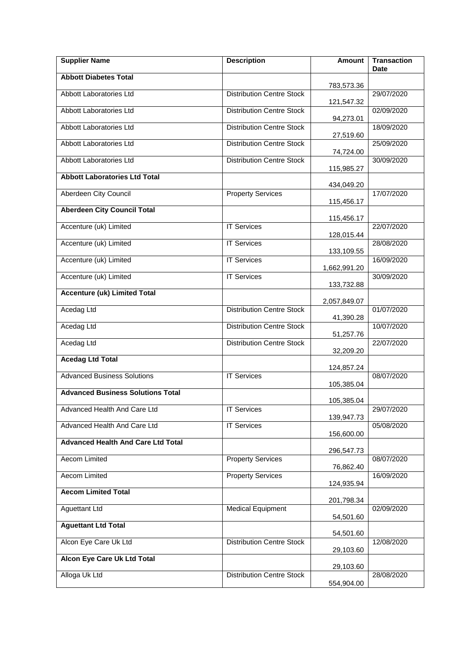| <b>Supplier Name</b>                      | <b>Description</b>               | <b>Amount</b>            | <b>Transaction</b><br>Date |
|-------------------------------------------|----------------------------------|--------------------------|----------------------------|
| <b>Abbott Diabetes Total</b>              |                                  | 783,573.36               |                            |
| Abbott Laboratories Ltd                   | <b>Distribution Centre Stock</b> | 121,547.32               | 29/07/2020                 |
| Abbott Laboratories Ltd                   | <b>Distribution Centre Stock</b> | 94,273.01                | 02/09/2020                 |
| Abbott Laboratories Ltd                   | <b>Distribution Centre Stock</b> | 27,519.60                | 18/09/2020                 |
| Abbott Laboratories Ltd                   | <b>Distribution Centre Stock</b> | 74,724.00                | 25/09/2020                 |
| Abbott Laboratories Ltd                   | <b>Distribution Centre Stock</b> | 115,985.27               | 30/09/2020                 |
| <b>Abbott Laboratories Ltd Total</b>      |                                  | 434,049.20               |                            |
| Aberdeen City Council                     | <b>Property Services</b>         | 115,456.17               | 17/07/2020                 |
| <b>Aberdeen City Council Total</b>        |                                  | 115,456.17               |                            |
| Accenture (uk) Limited                    | <b>IT Services</b>               |                          | 22/07/2020                 |
| Accenture (uk) Limited                    | <b>IT Services</b>               | 128,015.44<br>133,109.55 | 28/08/2020                 |
| Accenture (uk) Limited                    | <b>IT Services</b>               | 1,662,991.20             | 16/09/2020                 |
| Accenture (uk) Limited                    | <b>IT Services</b>               | 133,732.88               | 30/09/2020                 |
| <b>Accenture (uk) Limited Total</b>       |                                  |                          |                            |
| Acedag Ltd                                | <b>Distribution Centre Stock</b> | 2,057,849.07             | 01/07/2020                 |
| Acedag Ltd                                | <b>Distribution Centre Stock</b> | 41,390.28                | 10/07/2020                 |
| Acedag Ltd                                | <b>Distribution Centre Stock</b> | 51,257.76                | 22/07/2020                 |
| <b>Acedag Ltd Total</b>                   |                                  | 32,209.20                |                            |
| <b>Advanced Business Solutions</b>        | <b>IT Services</b>               | 124,857.24               | 08/07/2020                 |
| <b>Advanced Business Solutions Total</b>  |                                  | 105,385.04               |                            |
| Advanced Health And Care Ltd              | <b>IT Services</b>               | 105,385.04               | 29/07/2020                 |
| Advanced Health And Care Ltd              | <b>IT Services</b>               | 139,947.73               | 05/08/2020                 |
| <b>Advanced Health And Care Ltd Total</b> |                                  | 156,600.00               |                            |
| <b>Aecom Limited</b>                      | <b>Property Services</b>         | 296,547.73               | 08/07/2020                 |
| Aecom Limited                             | <b>Property Services</b>         | 76,862.40                | 16/09/2020                 |
| <b>Aecom Limited Total</b>                |                                  | 124,935.94               |                            |
| <b>Aguettant Ltd</b>                      | <b>Medical Equipment</b>         | 201,798.34               | 02/09/2020                 |
| <b>Aguettant Ltd Total</b>                |                                  | 54,501.60                |                            |
| Alcon Eye Care Uk Ltd                     | <b>Distribution Centre Stock</b> | 54,501.60                | 12/08/2020                 |
| Alcon Eye Care Uk Ltd Total               |                                  | 29,103.60                |                            |
|                                           |                                  | 29,103.60                |                            |
| Alloga Uk Ltd                             | <b>Distribution Centre Stock</b> | 554,904.00               | 28/08/2020                 |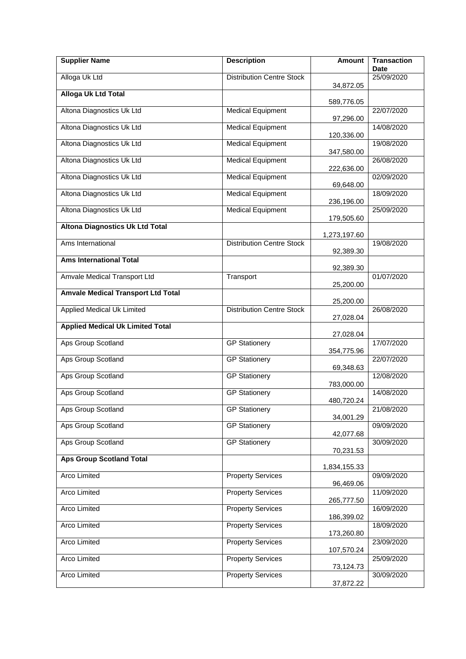| <b>Supplier Name</b>                      | <b>Description</b>               | Amount       | <b>Transaction</b><br>Date |
|-------------------------------------------|----------------------------------|--------------|----------------------------|
| Alloga Uk Ltd                             | <b>Distribution Centre Stock</b> |              | 25/09/2020                 |
| <b>Alloga Uk Ltd Total</b>                |                                  | 34,872.05    |                            |
|                                           |                                  | 589,776.05   |                            |
| Altona Diagnostics Uk Ltd                 | <b>Medical Equipment</b>         | 97,296.00    | 22/07/2020                 |
| Altona Diagnostics Uk Ltd                 | <b>Medical Equipment</b>         | 120,336.00   | 14/08/2020                 |
| Altona Diagnostics Uk Ltd                 | <b>Medical Equipment</b>         | 347,580.00   | 19/08/2020                 |
| Altona Diagnostics Uk Ltd                 | <b>Medical Equipment</b>         | 222,636.00   | 26/08/2020                 |
| Altona Diagnostics Uk Ltd                 | <b>Medical Equipment</b>         | 69,648.00    | 02/09/2020                 |
| Altona Diagnostics Uk Ltd                 | <b>Medical Equipment</b>         | 236,196.00   | 18/09/2020                 |
| Altona Diagnostics Uk Ltd                 | <b>Medical Equipment</b>         | 179,505.60   | 25/09/2020                 |
| <b>Altona Diagnostics Uk Ltd Total</b>    |                                  | 1,273,197.60 |                            |
| Ams International                         | <b>Distribution Centre Stock</b> | 92,389.30    | 19/08/2020                 |
| <b>Ams International Total</b>            |                                  | 92,389.30    |                            |
| Amvale Medical Transport Ltd              | Transport                        | 25,200.00    | 01/07/2020                 |
| <b>Amvale Medical Transport Ltd Total</b> |                                  | 25,200.00    |                            |
| <b>Applied Medical Uk Limited</b>         | <b>Distribution Centre Stock</b> | 27,028.04    | 26/08/2020                 |
| <b>Applied Medical Uk Limited Total</b>   |                                  |              |                            |
| Aps Group Scotland                        | <b>GP Stationery</b>             | 27,028.04    | 17/07/2020                 |
| Aps Group Scotland                        | <b>GP Stationery</b>             | 354,775.96   | 22/07/2020                 |
| Aps Group Scotland                        | <b>GP Stationery</b>             | 69,348.63    | 12/08/2020                 |
| Aps Group Scotland                        | <b>GP Stationery</b>             | 783,000.00   | 14/08/2020                 |
| Aps Group Scotland                        | <b>GP Stationery</b>             | 480,720.24   | 21/08/2020                 |
| Aps Group Scotland                        |                                  | 34,001.29    |                            |
|                                           | <b>GP Stationery</b>             | 42,077.68    | 09/09/2020                 |
| Aps Group Scotland                        | <b>GP Stationery</b>             | 70,231.53    | 30/09/2020                 |
| <b>Aps Group Scotland Total</b>           |                                  | 1,834,155.33 |                            |
| Arco Limited                              | <b>Property Services</b>         | 96,469.06    | 09/09/2020                 |
| Arco Limited                              | <b>Property Services</b>         | 265,777.50   | 11/09/2020                 |
| Arco Limited                              | <b>Property Services</b>         | 186,399.02   | 16/09/2020                 |
| Arco Limited                              | <b>Property Services</b>         | 173,260.80   | 18/09/2020                 |
| Arco Limited                              | <b>Property Services</b>         | 107,570.24   | 23/09/2020                 |
| Arco Limited                              | <b>Property Services</b>         | 73,124.73    | 25/09/2020                 |
| Arco Limited                              | <b>Property Services</b>         | 37,872.22    | 30/09/2020                 |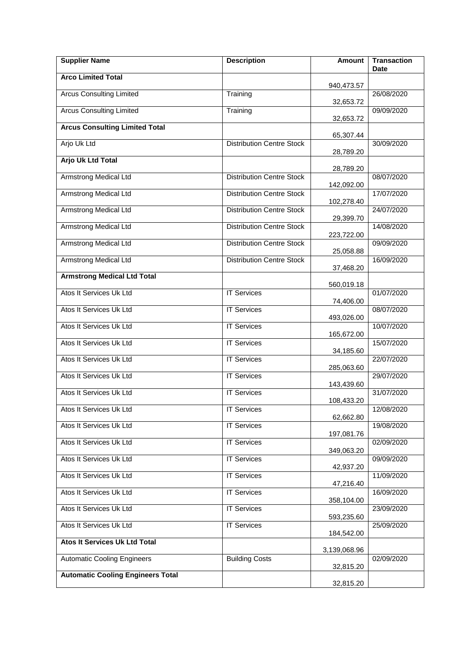| <b>Supplier Name</b>                     | <b>Description</b>               | <b>Amount</b> | <b>Transaction</b><br>Date |
|------------------------------------------|----------------------------------|---------------|----------------------------|
| <b>Arco Limited Total</b>                |                                  | 940,473.57    |                            |
| <b>Arcus Consulting Limited</b>          | Training                         | 32,653.72     | 26/08/2020                 |
| <b>Arcus Consulting Limited</b>          | Training                         |               | 09/09/2020                 |
| <b>Arcus Consulting Limited Total</b>    |                                  | 32,653.72     |                            |
| Arjo Uk Ltd                              | <b>Distribution Centre Stock</b> | 65,307.44     | 30/09/2020                 |
| <b>Arjo Uk Ltd Total</b>                 |                                  | 28,789.20     |                            |
| <b>Armstrong Medical Ltd</b>             | <b>Distribution Centre Stock</b> | 28,789.20     | 08/07/2020                 |
| <b>Armstrong Medical Ltd</b>             | <b>Distribution Centre Stock</b> | 142,092.00    | 17/07/2020                 |
| <b>Armstrong Medical Ltd</b>             | <b>Distribution Centre Stock</b> | 102,278.40    | 24/07/2020                 |
|                                          | <b>Distribution Centre Stock</b> | 29,399.70     |                            |
| <b>Armstrong Medical Ltd</b>             |                                  | 223,722.00    | 14/08/2020                 |
| <b>Armstrong Medical Ltd</b>             | <b>Distribution Centre Stock</b> | 25,058.88     | 09/09/2020                 |
| <b>Armstrong Medical Ltd</b>             | <b>Distribution Centre Stock</b> | 37,468.20     | 16/09/2020                 |
| <b>Armstrong Medical Ltd Total</b>       |                                  | 560,019.18    |                            |
| Atos It Services Uk Ltd                  | <b>IT Services</b>               | 74,406.00     | 01/07/2020                 |
| Atos It Services Uk Ltd                  | <b>IT Services</b>               | 493,026.00    | 08/07/2020                 |
| Atos It Services Uk Ltd                  | <b>IT Services</b>               | 165,672.00    | 10/07/2020                 |
| Atos It Services Uk Ltd                  | <b>IT Services</b>               |               | 15/07/2020                 |
| Atos It Services Uk Ltd                  | <b>IT Services</b>               | 34,185.60     | 22/07/2020                 |
| Atos It Services Uk Ltd                  | <b>IT Services</b>               | 285,063.60    | 29/07/2020                 |
| Atos It Services Uk Ltd                  | <b>IT Services</b>               | 143,439.60    | 31/07/2020                 |
| Atos It Services Uk Ltd                  | <b>IT Services</b>               | 108,433.20    | 12/08/2020                 |
| Atos It Services Uk Ltd                  | <b>IT Services</b>               | 62,662.80     | 19/08/2020                 |
| Atos It Services Uk Ltd                  | <b>IT Services</b>               | 197,081.76    | 02/09/2020                 |
| Atos It Services Uk Ltd                  | <b>IT Services</b>               | 349,063.20    | 09/09/2020                 |
| Atos It Services Uk Ltd                  | <b>IT Services</b>               | 42,937.20     | 11/09/2020                 |
| Atos It Services Uk Ltd                  | <b>IT Services</b>               | 47,216.40     | 16/09/2020                 |
| Atos It Services Uk Ltd                  | <b>IT Services</b>               | 358,104.00    | 23/09/2020                 |
|                                          |                                  | 593,235.60    |                            |
| Atos It Services Uk Ltd                  | <b>IT Services</b>               | 184,542.00    | 25/09/2020                 |
| Atos It Services Uk Ltd Total            |                                  | 3,139,068.96  |                            |
| <b>Automatic Cooling Engineers</b>       | <b>Building Costs</b>            | 32,815.20     | 02/09/2020                 |
| <b>Automatic Cooling Engineers Total</b> |                                  | 32,815.20     |                            |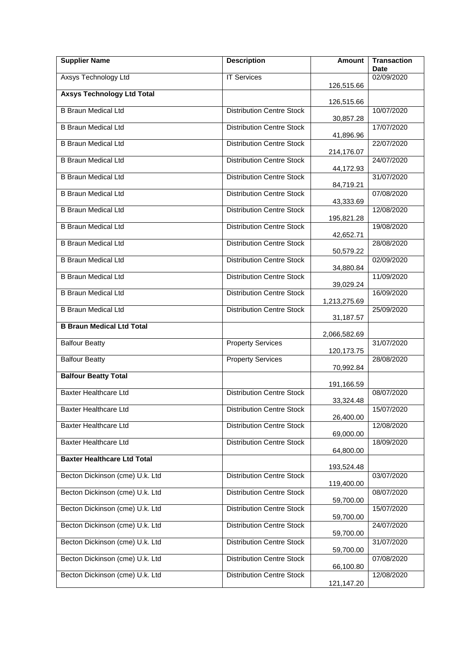| <b>Supplier Name</b>               | <b>Description</b>               | <b>Amount</b> | <b>Transaction</b><br><b>Date</b> |
|------------------------------------|----------------------------------|---------------|-----------------------------------|
| Axsys Technology Ltd               | <b>IT Services</b>               |               | 02/09/2020                        |
| <b>Axsys Technology Ltd Total</b>  |                                  | 126,515.66    |                                   |
| <b>B Braun Medical Ltd</b>         | <b>Distribution Centre Stock</b> | 126,515.66    | 10/07/2020                        |
|                                    |                                  | 30,857.28     |                                   |
| <b>B Braun Medical Ltd</b>         | <b>Distribution Centre Stock</b> | 41,896.96     | 17/07/2020                        |
| <b>B Braun Medical Ltd</b>         | <b>Distribution Centre Stock</b> | 214,176.07    | 22/07/2020                        |
| <b>B Braun Medical Ltd</b>         | <b>Distribution Centre Stock</b> |               | 24/07/2020                        |
| <b>B Braun Medical Ltd</b>         | <b>Distribution Centre Stock</b> | 44,172.93     | 31/07/2020                        |
| <b>B Braun Medical Ltd</b>         | <b>Distribution Centre Stock</b> | 84,719.21     | 07/08/2020                        |
| <b>B Braun Medical Ltd</b>         | <b>Distribution Centre Stock</b> | 43,333.69     | 12/08/2020                        |
| <b>B Braun Medical Ltd</b>         |                                  | 195,821.28    |                                   |
|                                    | <b>Distribution Centre Stock</b> | 42,652.71     | 19/08/2020                        |
| <b>B Braun Medical Ltd</b>         | <b>Distribution Centre Stock</b> | 50,579.22     | 28/08/2020                        |
| <b>B Braun Medical Ltd</b>         | <b>Distribution Centre Stock</b> | 34,880.84     | 02/09/2020                        |
| <b>B Braun Medical Ltd</b>         | <b>Distribution Centre Stock</b> |               | 11/09/2020                        |
| <b>B Braun Medical Ltd</b>         | <b>Distribution Centre Stock</b> | 39,029.24     | 16/09/2020                        |
| <b>B Braun Medical Ltd</b>         | <b>Distribution Centre Stock</b> | 1,213,275.69  | 25/09/2020                        |
| <b>B Braun Medical Ltd Total</b>   |                                  | 31,187.57     |                                   |
| <b>Balfour Beatty</b>              | <b>Property Services</b>         | 2,066,582.69  | 31/07/2020                        |
|                                    |                                  | 120, 173. 75  |                                   |
| <b>Balfour Beatty</b>              | <b>Property Services</b>         | 70,992.84     | 28/08/2020                        |
| <b>Balfour Beatty Total</b>        |                                  | 191,166.59    |                                   |
| <b>Baxter Healthcare Ltd</b>       | <b>Distribution Centre Stock</b> | 33,324.48     | 08/07/2020                        |
| <b>Baxter Healthcare Ltd</b>       | <b>Distribution Centre Stock</b> |               | 15/07/2020                        |
| <b>Baxter Healthcare Ltd</b>       | <b>Distribution Centre Stock</b> | 26,400.00     | 12/08/2020                        |
| <b>Baxter Healthcare Ltd</b>       | <b>Distribution Centre Stock</b> | 69,000.00     | 18/09/2020                        |
| <b>Baxter Healthcare Ltd Total</b> |                                  | 64,800.00     |                                   |
|                                    |                                  | 193,524.48    |                                   |
| Becton Dickinson (cme) U.k. Ltd    | <b>Distribution Centre Stock</b> | 119,400.00    | 03/07/2020                        |
| Becton Dickinson (cme) U.k. Ltd    | <b>Distribution Centre Stock</b> | 59,700.00     | 08/07/2020                        |
| Becton Dickinson (cme) U.k. Ltd    | <b>Distribution Centre Stock</b> | 59,700.00     | 15/07/2020                        |
| Becton Dickinson (cme) U.k. Ltd    | <b>Distribution Centre Stock</b> | 59,700.00     | 24/07/2020                        |
| Becton Dickinson (cme) U.k. Ltd    | <b>Distribution Centre Stock</b> |               | 31/07/2020                        |
| Becton Dickinson (cme) U.k. Ltd    | <b>Distribution Centre Stock</b> | 59,700.00     | 07/08/2020                        |
| Becton Dickinson (cme) U.k. Ltd    | <b>Distribution Centre Stock</b> | 66,100.80     | 12/08/2020                        |
|                                    |                                  | 121,147.20    |                                   |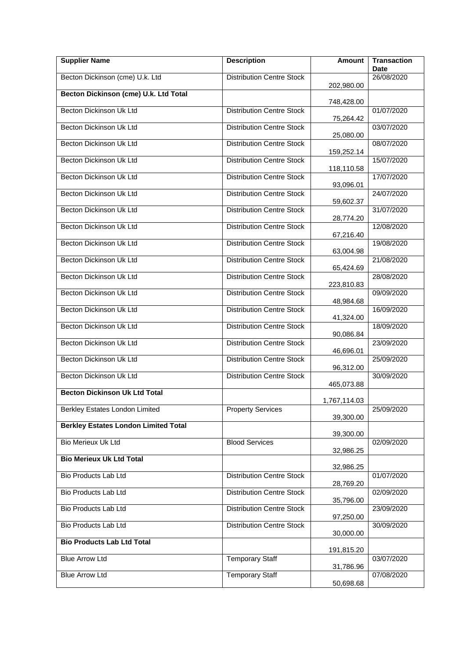| <b>Supplier Name</b>                        | <b>Description</b>               | Amount       | <b>Transaction</b><br><b>Date</b> |
|---------------------------------------------|----------------------------------|--------------|-----------------------------------|
| Becton Dickinson (cme) U.k. Ltd             | <b>Distribution Centre Stock</b> |              | 26/08/2020                        |
| Becton Dickinson (cme) U.k. Ltd Total       |                                  | 202,980.00   |                                   |
| Becton Dickinson Uk Ltd                     | <b>Distribution Centre Stock</b> | 748,428.00   | 01/07/2020                        |
| Becton Dickinson Uk Ltd                     | <b>Distribution Centre Stock</b> | 75,264.42    | 03/07/2020                        |
| <b>Becton Dickinson Uk Ltd</b>              | <b>Distribution Centre Stock</b> | 25,080.00    | 08/07/2020                        |
| Becton Dickinson Uk Ltd                     | <b>Distribution Centre Stock</b> | 159,252.14   | 15/07/2020                        |
| Becton Dickinson Uk Ltd                     | <b>Distribution Centre Stock</b> | 118,110.58   | 17/07/2020                        |
| Becton Dickinson Uk Ltd                     |                                  | 93,096.01    |                                   |
|                                             | <b>Distribution Centre Stock</b> | 59,602.37    | 24/07/2020                        |
| Becton Dickinson Uk Ltd                     | <b>Distribution Centre Stock</b> | 28,774.20    | 31/07/2020                        |
| Becton Dickinson Uk Ltd                     | <b>Distribution Centre Stock</b> | 67,216.40    | 12/08/2020                        |
| Becton Dickinson Uk Ltd                     | <b>Distribution Centre Stock</b> | 63,004.98    | 19/08/2020                        |
| Becton Dickinson Uk Ltd                     | <b>Distribution Centre Stock</b> | 65,424.69    | 21/08/2020                        |
| Becton Dickinson Uk Ltd                     | <b>Distribution Centre Stock</b> |              | 28/08/2020                        |
| Becton Dickinson Uk Ltd                     | <b>Distribution Centre Stock</b> | 223,810.83   | 09/09/2020                        |
| Becton Dickinson Uk Ltd                     | <b>Distribution Centre Stock</b> | 48,984.68    | 16/09/2020                        |
| Becton Dickinson Uk Ltd                     | <b>Distribution Centre Stock</b> | 41,324.00    | 18/09/2020                        |
| Becton Dickinson Uk Ltd                     | <b>Distribution Centre Stock</b> | 90,086.84    | 23/09/2020                        |
| Becton Dickinson Uk Ltd                     | <b>Distribution Centre Stock</b> | 46,696.01    | 25/09/2020                        |
| Becton Dickinson Uk Ltd                     | <b>Distribution Centre Stock</b> | 96,312.00    | 30/09/2020                        |
| <b>Becton Dickinson Uk Ltd Total</b>        |                                  | 465,073.88   |                                   |
|                                             |                                  | 1,767,114.03 |                                   |
| <b>Berkley Estates London Limited</b>       | <b>Property Services</b>         | 39,300.00    | 25/09/2020                        |
| <b>Berkley Estates London Limited Total</b> |                                  | 39,300.00    |                                   |
| Bio Merieux Uk Ltd                          | <b>Blood Services</b>            | 32,986.25    | 02/09/2020                        |
| <b>Bio Merieux Uk Ltd Total</b>             |                                  | 32,986.25    |                                   |
| <b>Bio Products Lab Ltd</b>                 | <b>Distribution Centre Stock</b> |              | 01/07/2020                        |
| <b>Bio Products Lab Ltd</b>                 | <b>Distribution Centre Stock</b> | 28,769.20    | 02/09/2020                        |
| Bio Products Lab Ltd                        | <b>Distribution Centre Stock</b> | 35,796.00    | 23/09/2020                        |
| Bio Products Lab Ltd                        | <b>Distribution Centre Stock</b> | 97,250.00    | 30/09/2020                        |
| <b>Bio Products Lab Ltd Total</b>           |                                  | 30,000.00    |                                   |
| <b>Blue Arrow Ltd</b>                       | <b>Temporary Staff</b>           | 191,815.20   | 03/07/2020                        |
| <b>Blue Arrow Ltd</b>                       | <b>Temporary Staff</b>           | 31,786.96    | 07/08/2020                        |
|                                             |                                  | 50,698.68    |                                   |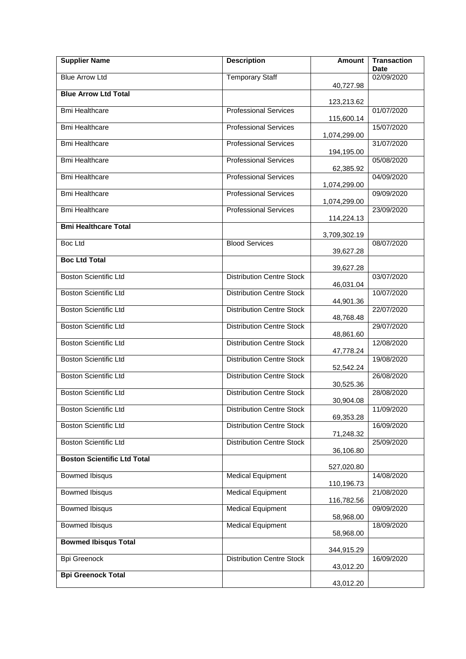| <b>Supplier Name</b>               | <b>Description</b>               | <b>Amount</b> | <b>Transaction</b><br><b>Date</b> |
|------------------------------------|----------------------------------|---------------|-----------------------------------|
| <b>Blue Arrow Ltd</b>              | <b>Temporary Staff</b>           |               | 02/09/2020                        |
| <b>Blue Arrow Ltd Total</b>        |                                  | 40,727.98     |                                   |
|                                    |                                  | 123,213.62    |                                   |
| <b>Bmi Healthcare</b>              | <b>Professional Services</b>     | 115,600.14    | 01/07/2020                        |
| <b>Bmi Healthcare</b>              | <b>Professional Services</b>     | 1,074,299.00  | 15/07/2020                        |
| <b>Bmi Healthcare</b>              | <b>Professional Services</b>     | 194,195.00    | 31/07/2020                        |
| <b>Bmi Healthcare</b>              | <b>Professional Services</b>     | 62,385.92     | 05/08/2020                        |
| <b>Bmi Healthcare</b>              | <b>Professional Services</b>     | 1,074,299.00  | 04/09/2020                        |
| <b>Bmi Healthcare</b>              | <b>Professional Services</b>     | 1,074,299.00  | 09/09/2020                        |
| <b>Bmi Healthcare</b>              | <b>Professional Services</b>     | 114,224.13    | 23/09/2020                        |
| <b>Bmi Healthcare Total</b>        |                                  |               |                                   |
| Boc Ltd                            | <b>Blood Services</b>            | 3,709,302.19  | 08/07/2020                        |
|                                    |                                  | 39,627.28     |                                   |
| <b>Boc Ltd Total</b>               |                                  | 39,627.28     |                                   |
| <b>Boston Scientific Ltd</b>       | <b>Distribution Centre Stock</b> |               | 03/07/2020                        |
| <b>Boston Scientific Ltd</b>       | <b>Distribution Centre Stock</b> | 46,031.04     | 10/07/2020                        |
| <b>Boston Scientific Ltd</b>       | <b>Distribution Centre Stock</b> | 44,901.36     | 22/07/2020                        |
|                                    |                                  | 48,768.48     |                                   |
| <b>Boston Scientific Ltd</b>       | <b>Distribution Centre Stock</b> | 48,861.60     | 29/07/2020                        |
| <b>Boston Scientific Ltd</b>       | <b>Distribution Centre Stock</b> | 47,778.24     | 12/08/2020                        |
| <b>Boston Scientific Ltd</b>       | <b>Distribution Centre Stock</b> | 52,542.24     | 19/08/2020                        |
| <b>Boston Scientific Ltd</b>       | <b>Distribution Centre Stock</b> | 30,525.36     | 26/08/2020                        |
| <b>Boston Scientific Ltd</b>       | <b>Distribution Centre Stock</b> |               | 28/08/2020                        |
| <b>Boston Scientific Ltd</b>       | <b>Distribution Centre Stock</b> | 30,904.08     | 11/09/2020                        |
| <b>Boston Scientific Ltd</b>       | <b>Distribution Centre Stock</b> | 69,353.28     | 16/09/2020                        |
|                                    |                                  | 71,248.32     |                                   |
| <b>Boston Scientific Ltd</b>       | <b>Distribution Centre Stock</b> | 36,106.80     | 25/09/2020                        |
| <b>Boston Scientific Ltd Total</b> |                                  | 527,020.80    |                                   |
| <b>Bowmed Ibisqus</b>              | <b>Medical Equipment</b>         |               | 14/08/2020                        |
| <b>Bowmed Ibisqus</b>              | <b>Medical Equipment</b>         | 110,196.73    | 21/08/2020                        |
|                                    |                                  | 116,782.56    |                                   |
| <b>Bowmed Ibisqus</b>              | <b>Medical Equipment</b>         | 58,968.00     | 09/09/2020                        |
| <b>Bowmed Ibisqus</b>              | <b>Medical Equipment</b>         | 58,968.00     | 18/09/2020                        |
| <b>Bowmed Ibisqus Total</b>        |                                  | 344,915.29    |                                   |
| <b>Bpi Greenock</b>                | <b>Distribution Centre Stock</b> | 43,012.20     | 16/09/2020                        |
| <b>Bpi Greenock Total</b>          |                                  | 43,012.20     |                                   |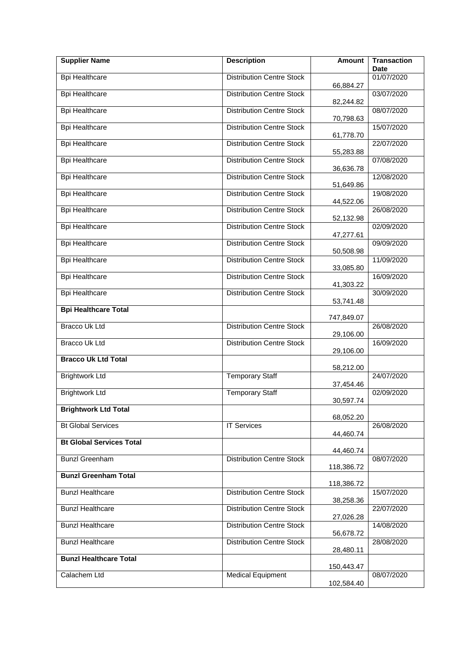| <b>Supplier Name</b>            | <b>Description</b>               | <b>Amount</b> | <b>Transaction</b><br><b>Date</b> |
|---------------------------------|----------------------------------|---------------|-----------------------------------|
| <b>Bpi Healthcare</b>           | <b>Distribution Centre Stock</b> |               | 01/07/2020                        |
| <b>Bpi Healthcare</b>           | <b>Distribution Centre Stock</b> | 66,884.27     | 03/07/2020                        |
| <b>Bpi Healthcare</b>           | <b>Distribution Centre Stock</b> | 82,244.82     | 08/07/2020                        |
|                                 |                                  | 70,798.63     |                                   |
| <b>Bpi Healthcare</b>           | <b>Distribution Centre Stock</b> | 61,778.70     | 15/07/2020                        |
| <b>Bpi Healthcare</b>           | <b>Distribution Centre Stock</b> | 55,283.88     | 22/07/2020                        |
| <b>Bpi Healthcare</b>           | <b>Distribution Centre Stock</b> | 36,636.78     | 07/08/2020                        |
| <b>Bpi Healthcare</b>           | <b>Distribution Centre Stock</b> | 51,649.86     | 12/08/2020                        |
| <b>Bpi Healthcare</b>           | <b>Distribution Centre Stock</b> | 44,522.06     | 19/08/2020                        |
| <b>Bpi Healthcare</b>           | <b>Distribution Centre Stock</b> |               | 26/08/2020                        |
| <b>Bpi Healthcare</b>           | <b>Distribution Centre Stock</b> | 52,132.98     | 02/09/2020                        |
| <b>Bpi Healthcare</b>           | <b>Distribution Centre Stock</b> | 47,277.61     | 09/09/2020                        |
| <b>Bpi Healthcare</b>           | <b>Distribution Centre Stock</b> | 50,508.98     | 11/09/2020                        |
| <b>Bpi Healthcare</b>           | <b>Distribution Centre Stock</b> | 33,085.80     | 16/09/2020                        |
| <b>Bpi Healthcare</b>           | <b>Distribution Centre Stock</b> | 41,303.22     | 30/09/2020                        |
| <b>Bpi Healthcare Total</b>     |                                  | 53,741.48     |                                   |
| <b>Bracco Uk Ltd</b>            | <b>Distribution Centre Stock</b> | 747,849.07    | 26/08/2020                        |
| Bracco Uk Ltd                   | <b>Distribution Centre Stock</b> | 29,106.00     | 16/09/2020                        |
|                                 |                                  | 29,106.00     |                                   |
| <b>Bracco Uk Ltd Total</b>      |                                  | 58,212.00     |                                   |
| <b>Brightwork Ltd</b>           | <b>Temporary Staff</b>           | 37,454.46     | 24/07/2020                        |
| <b>Brightwork Ltd</b>           | <b>Temporary Staff</b>           | 30,597.74     | 02/09/2020                        |
| <b>Brightwork Ltd Total</b>     |                                  |               |                                   |
| <b>Bt Global Services</b>       | <b>IT Services</b>               | 68,052.20     | 26/08/2020                        |
| <b>Bt Global Services Total</b> |                                  | 44,460.74     |                                   |
| <b>Bunzl Greenham</b>           | <b>Distribution Centre Stock</b> | 44,460.74     | 08/07/2020                        |
| <b>Bunzl Greenham Total</b>     |                                  | 118,386.72    |                                   |
|                                 |                                  | 118,386.72    |                                   |
| <b>Bunzl Healthcare</b>         | <b>Distribution Centre Stock</b> | 38,258.36     | 15/07/2020                        |
| <b>Bunzl Healthcare</b>         | <b>Distribution Centre Stock</b> | 27,026.28     | 22/07/2020                        |
| <b>Bunzl Healthcare</b>         | <b>Distribution Centre Stock</b> | 56,678.72     | 14/08/2020                        |
| <b>Bunzl Healthcare</b>         | <b>Distribution Centre Stock</b> | 28,480.11     | 28/08/2020                        |
| <b>Bunzl Healthcare Total</b>   |                                  | 150,443.47    |                                   |
| Calachem Ltd                    | Medical Equipment                |               | 08/07/2020                        |
|                                 |                                  | 102,584.40    |                                   |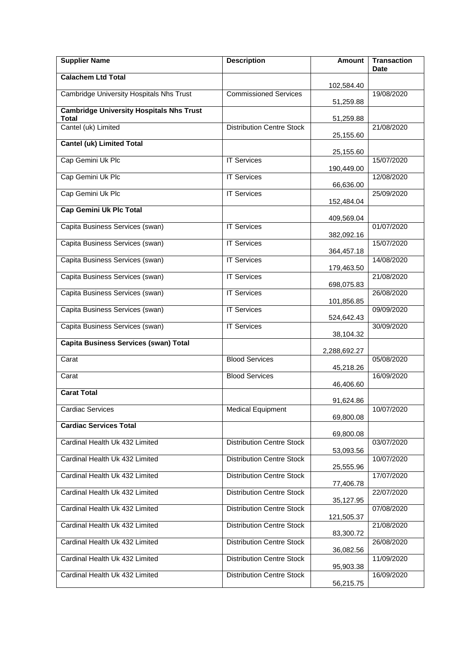| <b>Supplier Name</b>                                     | <b>Description</b>               | <b>Amount</b> | <b>Transaction</b><br>Date |
|----------------------------------------------------------|----------------------------------|---------------|----------------------------|
| <b>Calachem Ltd Total</b>                                |                                  | 102,584.40    |                            |
| Cambridge University Hospitals Nhs Trust                 | <b>Commissioned Services</b>     | 51,259.88     | 19/08/2020                 |
| <b>Cambridge University Hospitals Nhs Trust</b><br>Total |                                  | 51,259.88     |                            |
| Cantel (uk) Limited                                      | <b>Distribution Centre Stock</b> | 25,155.60     | 21/08/2020                 |
| <b>Cantel (uk) Limited Total</b>                         |                                  | 25,155.60     |                            |
| Cap Gemini Uk Plc                                        | <b>IT Services</b>               | 190,449.00    | 15/07/2020                 |
| Cap Gemini Uk Plc                                        | <b>IT Services</b>               | 66,636.00     | 12/08/2020                 |
| Cap Gemini Uk Plc                                        | <b>IT Services</b>               | 152,484.04    | 25/09/2020                 |
| <b>Cap Gemini Uk Plc Total</b>                           |                                  | 409,569.04    |                            |
| Capita Business Services (swan)                          | <b>IT Services</b>               | 382,092.16    | 01/07/2020                 |
| Capita Business Services (swan)                          | <b>IT Services</b>               | 364,457.18    | 15/07/2020                 |
| Capita Business Services (swan)                          | <b>IT Services</b>               | 179,463.50    | 14/08/2020                 |
| Capita Business Services (swan)                          | <b>IT Services</b>               | 698,075.83    | 21/08/2020                 |
| Capita Business Services (swan)                          | <b>IT Services</b>               | 101,856.85    | 26/08/2020                 |
| Capita Business Services (swan)                          | <b>IT Services</b>               | 524,642.43    | 09/09/2020                 |
| Capita Business Services (swan)                          | <b>IT Services</b>               | 38,104.32     | 30/09/2020                 |
| Capita Business Services (swan) Total                    |                                  | 2,288,692.27  |                            |
| Carat                                                    | <b>Blood Services</b>            | 45,218.26     | 05/08/2020                 |
| Carat                                                    | <b>Blood Services</b>            | 46,406.60     | 16/09/2020                 |
| <b>Carat Total</b>                                       |                                  | 91,624.86     |                            |
| <b>Cardiac Services</b>                                  | <b>Medical Equipment</b>         | 69,800.08     | 10/07/2020                 |
| <b>Cardiac Services Total</b>                            |                                  | 69,800.08     |                            |
| Cardinal Health Uk 432 Limited                           | <b>Distribution Centre Stock</b> | 53,093.56     | 03/07/2020                 |
| Cardinal Health Uk 432 Limited                           | <b>Distribution Centre Stock</b> | 25,555.96     | 10/07/2020                 |
| Cardinal Health Uk 432 Limited                           | <b>Distribution Centre Stock</b> | 77,406.78     | 17/07/2020                 |
| Cardinal Health Uk 432 Limited                           | <b>Distribution Centre Stock</b> | 35,127.95     | 22/07/2020                 |
| Cardinal Health Uk 432 Limited                           | <b>Distribution Centre Stock</b> | 121,505.37    | 07/08/2020                 |
| Cardinal Health Uk 432 Limited                           | <b>Distribution Centre Stock</b> | 83,300.72     | 21/08/2020                 |
| Cardinal Health Uk 432 Limited                           | <b>Distribution Centre Stock</b> | 36,082.56     | 26/08/2020                 |
| Cardinal Health Uk 432 Limited                           | <b>Distribution Centre Stock</b> | 95,903.38     | 11/09/2020                 |
| Cardinal Health Uk 432 Limited                           | <b>Distribution Centre Stock</b> | 56,215.75     | 16/09/2020                 |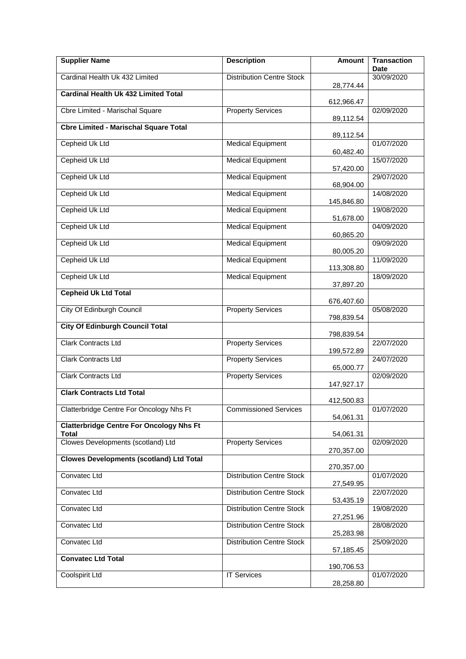| <b>Supplier Name</b>                            | <b>Description</b>               | <b>Amount</b> | <b>Transaction</b><br><b>Date</b> |
|-------------------------------------------------|----------------------------------|---------------|-----------------------------------|
| Cardinal Health Uk 432 Limited                  | <b>Distribution Centre Stock</b> | 28,774.44     | 30/09/2020                        |
| <b>Cardinal Health Uk 432 Limited Total</b>     |                                  |               |                                   |
| Cbre Limited - Marischal Square                 | <b>Property Services</b>         | 612,966.47    | 02/09/2020                        |
| <b>Cbre Limited - Marischal Square Total</b>    |                                  | 89,112.54     |                                   |
| Cepheid Uk Ltd                                  | <b>Medical Equipment</b>         | 89,112.54     | 01/07/2020                        |
| Cepheid Uk Ltd                                  | <b>Medical Equipment</b>         | 60,482.40     | 15/07/2020                        |
|                                                 |                                  | 57,420.00     |                                   |
| Cepheid Uk Ltd                                  | <b>Medical Equipment</b>         | 68,904.00     | 29/07/2020                        |
| Cepheid Uk Ltd                                  | <b>Medical Equipment</b>         | 145,846.80    | 14/08/2020                        |
| Cepheid Uk Ltd                                  | <b>Medical Equipment</b>         | 51,678.00     | 19/08/2020                        |
| Cepheid Uk Ltd                                  | <b>Medical Equipment</b>         |               | 04/09/2020                        |
| Cepheid Uk Ltd                                  | <b>Medical Equipment</b>         | 60,865.20     | 09/09/2020                        |
| Cepheid Uk Ltd                                  | <b>Medical Equipment</b>         | 80,005.20     | 11/09/2020                        |
| Cepheid Uk Ltd                                  | <b>Medical Equipment</b>         | 113,308.80    | 18/09/2020                        |
| <b>Cepheid Uk Ltd Total</b>                     |                                  | 37,897.20     |                                   |
|                                                 |                                  | 676,407.60    |                                   |
| City Of Edinburgh Council                       | <b>Property Services</b>         | 798,839.54    | 05/08/2020                        |
| <b>City Of Edinburgh Council Total</b>          |                                  | 798,839.54    |                                   |
| <b>Clark Contracts Ltd</b>                      | <b>Property Services</b>         | 199,572.89    | 22/07/2020                        |
| <b>Clark Contracts Ltd</b>                      | <b>Property Services</b>         | 65,000.77     | 24/07/2020                        |
| Clark Contracts Ltd                             | <b>Property Services</b>         |               | 02/09/2020                        |
| <b>Clark Contracts Ltd Total</b>                |                                  | 147,927.17    |                                   |
| Clatterbridge Centre For Oncology Nhs Ft        | <b>Commissioned Services</b>     | 412,500.83    | 01/07/2020                        |
| <b>Clatterbridge Centre For Oncology Nhs Ft</b> |                                  | 54,061.31     |                                   |
| Total                                           |                                  | 54,061.31     |                                   |
| Clowes Developments (scotland) Ltd              | <b>Property Services</b>         | 270,357.00    | 02/09/2020                        |
| <b>Clowes Developments (scotland) Ltd Total</b> |                                  | 270,357.00    |                                   |
| Convatec Ltd                                    | <b>Distribution Centre Stock</b> | 27,549.95     | 01/07/2020                        |
| Convatec Ltd                                    | <b>Distribution Centre Stock</b> |               | 22/07/2020                        |
| Convatec Ltd                                    | <b>Distribution Centre Stock</b> | 53,435.19     | 19/08/2020                        |
| Convatec Ltd                                    | <b>Distribution Centre Stock</b> | 27,251.96     | 28/08/2020                        |
| Convatec Ltd                                    | <b>Distribution Centre Stock</b> | 25,283.98     | 25/09/2020                        |
| <b>Convatec Ltd Total</b>                       |                                  | 57,185.45     |                                   |
|                                                 |                                  | 190,706.53    |                                   |
| Coolspirit Ltd                                  | <b>IT Services</b>               | 28,258.80     | 01/07/2020                        |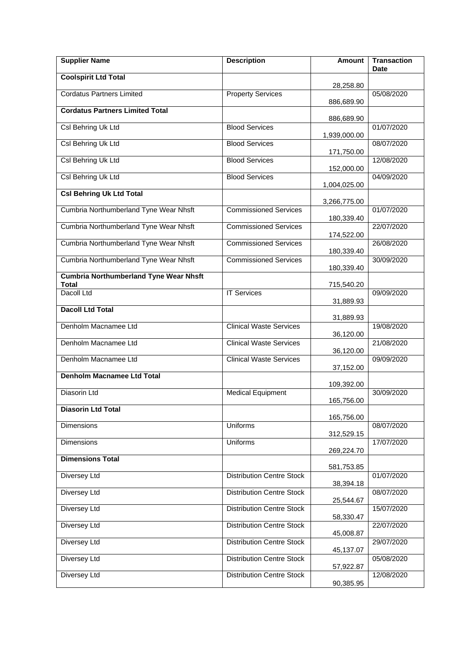| <b>Supplier Name</b>                          | <b>Description</b>               | Amount       | <b>Transaction</b><br>Date |
|-----------------------------------------------|----------------------------------|--------------|----------------------------|
| <b>Coolspirit Ltd Total</b>                   |                                  | 28,258.80    |                            |
| <b>Cordatus Partners Limited</b>              | <b>Property Services</b>         |              | 05/08/2020                 |
| <b>Cordatus Partners Limited Total</b>        |                                  | 886,689.90   |                            |
| Csl Behring Uk Ltd                            | <b>Blood Services</b>            | 886,689.90   | 01/07/2020                 |
| Csl Behring Uk Ltd                            | <b>Blood Services</b>            | 1,939,000.00 | 08/07/2020                 |
| Csl Behring Uk Ltd                            | <b>Blood Services</b>            | 171,750.00   | 12/08/2020                 |
| Csl Behring Uk Ltd                            | <b>Blood Services</b>            | 152,000.00   | 04/09/2020                 |
|                                               |                                  | 1,004,025.00 |                            |
| <b>Csl Behring Uk Ltd Total</b>               |                                  | 3,266,775.00 |                            |
| Cumbria Northumberland Tyne Wear Nhsft        | <b>Commissioned Services</b>     | 180,339.40   | 01/07/2020                 |
| Cumbria Northumberland Tyne Wear Nhsft        | <b>Commissioned Services</b>     | 174,522.00   | 22/07/2020                 |
| Cumbria Northumberland Tyne Wear Nhsft        | <b>Commissioned Services</b>     |              | 26/08/2020                 |
| Cumbria Northumberland Tyne Wear Nhsft        | <b>Commissioned Services</b>     | 180,339.40   | 30/09/2020                 |
| <b>Cumbria Northumberland Tyne Wear Nhsft</b> |                                  | 180,339.40   |                            |
| Total<br>Dacoll Ltd                           | <b>IT Services</b>               | 715,540.20   | 09/09/2020                 |
| <b>Dacoll Ltd Total</b>                       |                                  | 31,889.93    |                            |
|                                               |                                  | 31,889.93    |                            |
| Denholm Macnamee Ltd                          | <b>Clinical Waste Services</b>   | 36,120.00    | 19/08/2020                 |
| Denholm Macnamee Ltd                          | <b>Clinical Waste Services</b>   | 36,120.00    | 21/08/2020                 |
| Denholm Macnamee Ltd                          | <b>Clinical Waste Services</b>   | 37,152.00    | 09/09/2020                 |
| <b>Denholm Macnamee Ltd Total</b>             |                                  | 109,392.00   |                            |
| Diasorin Ltd                                  | <b>Medical Equipment</b>         |              | 30/09/2020                 |
| <b>Diasorin Ltd Total</b>                     |                                  | 165,756.00   |                            |
| <b>Dimensions</b>                             | <b>Uniforms</b>                  | 165,756.00   | 08/07/2020                 |
| <b>Dimensions</b>                             | <b>Uniforms</b>                  | 312,529.15   | 17/07/2020                 |
| <b>Dimensions Total</b>                       |                                  | 269,224.70   |                            |
|                                               |                                  | 581,753.85   |                            |
| <b>Diversey Ltd</b>                           | <b>Distribution Centre Stock</b> | 38,394.18    | 01/07/2020                 |
| <b>Diversey Ltd</b>                           | <b>Distribution Centre Stock</b> | 25,544.67    | 08/07/2020                 |
| Diversey Ltd                                  | <b>Distribution Centre Stock</b> | 58,330.47    | 15/07/2020                 |
| <b>Diversey Ltd</b>                           | <b>Distribution Centre Stock</b> |              | 22/07/2020                 |
| <b>Diversey Ltd</b>                           | <b>Distribution Centre Stock</b> | 45,008.87    | 29/07/2020                 |
| Diversey Ltd                                  | <b>Distribution Centre Stock</b> | 45,137.07    | 05/08/2020                 |
| Diversey Ltd                                  | <b>Distribution Centre Stock</b> | 57,922.87    | 12/08/2020                 |
|                                               |                                  | 90,385.95    |                            |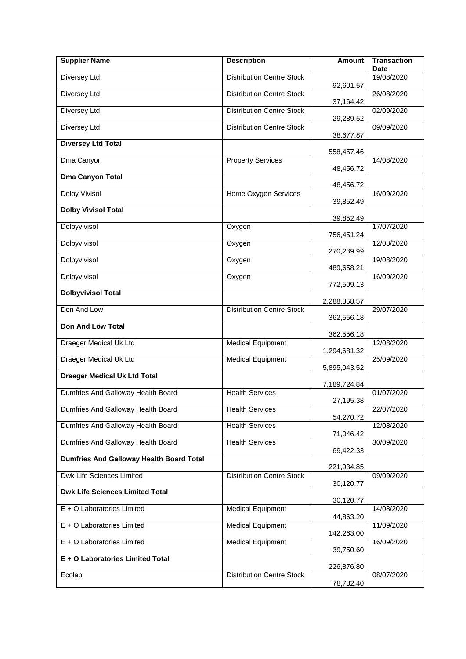| <b>Supplier Name</b>                            | <b>Description</b>               | <b>Amount</b> | <b>Transaction</b><br><b>Date</b> |
|-------------------------------------------------|----------------------------------|---------------|-----------------------------------|
| <b>Diversey Ltd</b>                             | <b>Distribution Centre Stock</b> | 92,601.57     | 19/08/2020                        |
| Diversey Ltd                                    | <b>Distribution Centre Stock</b> | 37,164.42     | 26/08/2020                        |
| <b>Diversey Ltd</b>                             | <b>Distribution Centre Stock</b> | 29,289.52     | 02/09/2020                        |
| <b>Diversey Ltd</b>                             | <b>Distribution Centre Stock</b> | 38,677.87     | 09/09/2020                        |
| <b>Diversey Ltd Total</b>                       |                                  | 558,457.46    |                                   |
| Dma Canyon                                      | <b>Property Services</b>         | 48,456.72     | 14/08/2020                        |
| <b>Dma Canyon Total</b>                         |                                  | 48,456.72     |                                   |
| <b>Dolby Vivisol</b>                            | Home Oxygen Services             | 39,852.49     | 16/09/2020                        |
| <b>Dolby Vivisol Total</b>                      |                                  | 39,852.49     |                                   |
| Dolbyvivisol                                    | Oxygen                           | 756,451.24    | 17/07/2020                        |
| Dolbyvivisol                                    | Oxygen                           | 270,239.99    | 12/08/2020                        |
| Dolbyvivisol                                    | Oxygen                           | 489,658.21    | 19/08/2020                        |
| Dolbyvivisol                                    | Oxygen                           | 772,509.13    | 16/09/2020                        |
| <b>Dolbyvivisol Total</b>                       |                                  | 2,288,858.57  |                                   |
| Don And Low                                     | <b>Distribution Centre Stock</b> | 362,556.18    | 29/07/2020                        |
| <b>Don And Low Total</b>                        |                                  | 362,556.18    |                                   |
| Draeger Medical Uk Ltd                          | <b>Medical Equipment</b>         | 1,294,681.32  | 12/08/2020                        |
| <b>Draeger Medical Uk Ltd</b>                   | <b>Medical Equipment</b>         | 5,895,043.52  | 25/09/2020                        |
| <b>Draeger Medical Uk Ltd Total</b>             |                                  | 7,189,724.84  |                                   |
| Dumfries And Galloway Health Board              | <b>Health Services</b>           | 27,195.38     | 01/07/2020                        |
| Dumfries And Galloway Health Board              | <b>Health Services</b>           | 54,270.72     | 22/07/2020                        |
| Dumfries And Galloway Health Board              | <b>Health Services</b>           | 71,046.42     | 12/08/2020                        |
| Dumfries And Galloway Health Board              | <b>Health Services</b>           | 69,422.33     | 30/09/2020                        |
| <b>Dumfries And Galloway Health Board Total</b> |                                  | 221,934.85    |                                   |
| Dwk Life Sciences Limited                       | <b>Distribution Centre Stock</b> | 30,120.77     | 09/09/2020                        |
| <b>Dwk Life Sciences Limited Total</b>          |                                  | 30,120.77     |                                   |
| E + O Laboratories Limited                      | <b>Medical Equipment</b>         | 44,863.20     | 14/08/2020                        |
| E + O Laboratories Limited                      | <b>Medical Equipment</b>         | 142,263.00    | 11/09/2020                        |
| E + O Laboratories Limited                      | <b>Medical Equipment</b>         | 39,750.60     | 16/09/2020                        |
| E + O Laboratories Limited Total                |                                  | 226,876.80    |                                   |
| Ecolab                                          | <b>Distribution Centre Stock</b> | 78,782.40     | 08/07/2020                        |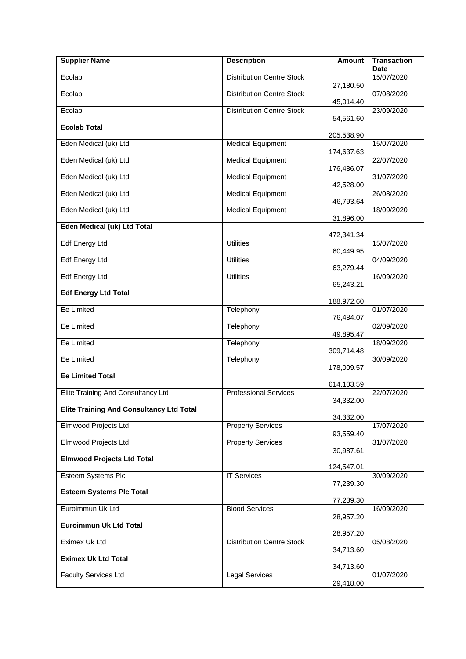| <b>Supplier Name</b>                            | <b>Description</b>               | <b>Amount</b> | <b>Transaction</b><br><b>Date</b> |
|-------------------------------------------------|----------------------------------|---------------|-----------------------------------|
| Ecolab                                          | <b>Distribution Centre Stock</b> |               | 15/07/2020                        |
|                                                 |                                  | 27,180.50     |                                   |
| Ecolab                                          | <b>Distribution Centre Stock</b> | 45,014.40     | 07/08/2020                        |
| Ecolab                                          | <b>Distribution Centre Stock</b> | 54,561.60     | 23/09/2020                        |
| <b>Ecolab Total</b>                             |                                  | 205,538.90    |                                   |
| Eden Medical (uk) Ltd                           | <b>Medical Equipment</b>         |               | 15/07/2020                        |
| Eden Medical (uk) Ltd                           | <b>Medical Equipment</b>         | 174,637.63    | 22/07/2020                        |
| Eden Medical (uk) Ltd                           | <b>Medical Equipment</b>         | 176,486.07    | 31/07/2020                        |
| Eden Medical (uk) Ltd                           | <b>Medical Equipment</b>         | 42,528.00     | 26/08/2020                        |
| Eden Medical (uk) Ltd                           | <b>Medical Equipment</b>         | 46,793.64     | 18/09/2020                        |
|                                                 |                                  | 31,896.00     |                                   |
| <b>Eden Medical (uk) Ltd Total</b>              |                                  | 472,341.34    |                                   |
| <b>Edf Energy Ltd</b>                           | <b>Utilities</b>                 | 60,449.95     | 15/07/2020                        |
| <b>Edf Energy Ltd</b>                           | <b>Utilities</b>                 | 63,279.44     | 04/09/2020                        |
| <b>Edf Energy Ltd</b>                           | <b>Utilities</b>                 |               | 16/09/2020                        |
| <b>Edf Energy Ltd Total</b>                     |                                  | 65,243.21     |                                   |
| Ee Limited                                      | Telephony                        | 188,972.60    | 01/07/2020                        |
| Ee Limited                                      | Telephony                        | 76,484.07     | 02/09/2020                        |
|                                                 |                                  | 49,895.47     |                                   |
| Ee Limited                                      | Telephony                        | 309,714.48    | 18/09/2020                        |
| Ee Limited                                      | Telephony                        | 178,009.57    | 30/09/2020                        |
| <b>Ee Limited Total</b>                         |                                  | 614,103.59    |                                   |
| Elite Training And Consultancy Ltd              | <b>Professional Services</b>     | 34,332.00     | 22/07/2020                        |
| <b>Elite Training And Consultancy Ltd Total</b> |                                  |               |                                   |
| Elmwood Projects Ltd                            | <b>Property Services</b>         | 34,332.00     | 17/07/2020                        |
|                                                 |                                  | 93,559.40     |                                   |
| Elmwood Projects Ltd                            | <b>Property Services</b>         | 30,987.61     | 31/07/2020                        |
| <b>Elmwood Projects Ltd Total</b>               |                                  | 124,547.01    |                                   |
| <b>Esteem Systems Plc</b>                       | <b>IT Services</b>               | 77,239.30     | 30/09/2020                        |
| <b>Esteem Systems Plc Total</b>                 |                                  |               |                                   |
| Euroimmun Uk Ltd                                | <b>Blood Services</b>            | 77,239.30     | 16/09/2020                        |
| <b>Euroimmun Uk Ltd Total</b>                   |                                  | 28,957.20     |                                   |
| Eximex Uk Ltd                                   | <b>Distribution Centre Stock</b> | 28,957.20     | 05/08/2020                        |
|                                                 |                                  | 34,713.60     |                                   |
| <b>Eximex Uk Ltd Total</b>                      |                                  | 34,713.60     |                                   |
| <b>Faculty Services Ltd</b>                     | <b>Legal Services</b>            | 29,418.00     | 01/07/2020                        |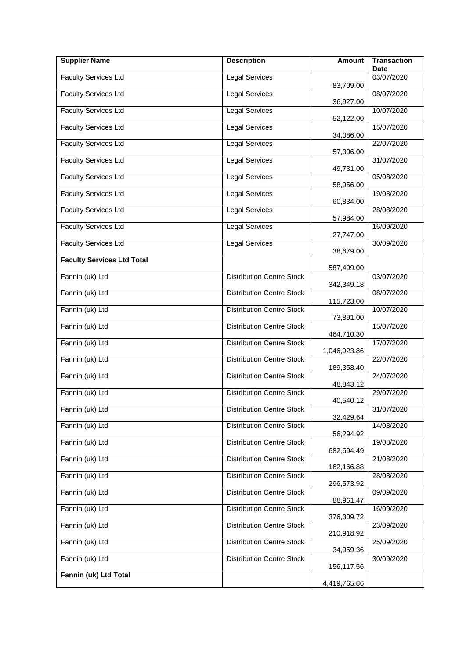| <b>Supplier Name</b>              | <b>Description</b>               | <b>Amount</b> | <b>Transaction</b><br><b>Date</b> |
|-----------------------------------|----------------------------------|---------------|-----------------------------------|
| <b>Faculty Services Ltd</b>       | <b>Legal Services</b>            |               | 03/07/2020                        |
| <b>Faculty Services Ltd</b>       | <b>Legal Services</b>            | 83,709.00     | 08/07/2020                        |
|                                   |                                  | 36,927.00     |                                   |
| <b>Faculty Services Ltd</b>       | <b>Legal Services</b>            | 52,122.00     | 10/07/2020                        |
| <b>Faculty Services Ltd</b>       | <b>Legal Services</b>            | 34,086.00     | 15/07/2020                        |
| <b>Faculty Services Ltd</b>       | <b>Legal Services</b>            | 57,306.00     | 22/07/2020                        |
| <b>Faculty Services Ltd</b>       | <b>Legal Services</b>            | 49,731.00     | 31/07/2020                        |
| <b>Faculty Services Ltd</b>       | <b>Legal Services</b>            | 58,956.00     | 05/08/2020                        |
| <b>Faculty Services Ltd</b>       | <b>Legal Services</b>            | 60,834.00     | 19/08/2020                        |
| <b>Faculty Services Ltd</b>       | <b>Legal Services</b>            |               | 28/08/2020                        |
| <b>Faculty Services Ltd</b>       | <b>Legal Services</b>            | 57,984.00     | 16/09/2020                        |
| <b>Faculty Services Ltd</b>       | <b>Legal Services</b>            | 27,747.00     | 30/09/2020                        |
| <b>Faculty Services Ltd Total</b> |                                  | 38,679.00     |                                   |
| Fannin (uk) Ltd                   | <b>Distribution Centre Stock</b> | 587,499.00    | 03/07/2020                        |
|                                   |                                  | 342,349.18    |                                   |
| Fannin (uk) Ltd                   | <b>Distribution Centre Stock</b> | 115,723.00    | 08/07/2020                        |
| Fannin (uk) Ltd                   | <b>Distribution Centre Stock</b> | 73,891.00     | 10/07/2020                        |
| Fannin (uk) Ltd                   | <b>Distribution Centre Stock</b> | 464,710.30    | 15/07/2020                        |
| Fannin (uk) Ltd                   | <b>Distribution Centre Stock</b> | 1,046,923.86  | 17/07/2020                        |
| Fannin (uk) Ltd                   | <b>Distribution Centre Stock</b> | 189,358.40    | 22/07/2020                        |
| Fannin (uk) Ltd                   | <b>Distribution Centre Stock</b> | 48,843.12     | 24/07/2020                        |
| Fannin (uk) Ltd                   | <b>Distribution Centre Stock</b> | 40,540.12     | 29/07/2020                        |
| Fannin (uk) Ltd                   | <b>Distribution Centre Stock</b> | 32,429.64     | 31/07/2020                        |
| Fannin (uk) Ltd                   | <b>Distribution Centre Stock</b> | 56,294.92     | 14/08/2020                        |
| Fannin (uk) Ltd                   | <b>Distribution Centre Stock</b> | 682,694.49    | 19/08/2020                        |
| Fannin (uk) Ltd                   | <b>Distribution Centre Stock</b> | 162,166.88    | 21/08/2020                        |
| Fannin (uk) Ltd                   | <b>Distribution Centre Stock</b> | 296,573.92    | 28/08/2020                        |
| Fannin (uk) Ltd                   | <b>Distribution Centre Stock</b> | 88,961.47     | 09/09/2020                        |
| Fannin (uk) Ltd                   | <b>Distribution Centre Stock</b> | 376,309.72    | 16/09/2020                        |
| Fannin (uk) Ltd                   | <b>Distribution Centre Stock</b> |               | 23/09/2020                        |
| Fannin (uk) Ltd                   | <b>Distribution Centre Stock</b> | 210,918.92    | 25/09/2020                        |
| Fannin (uk) Ltd                   | <b>Distribution Centre Stock</b> | 34,959.36     | 30/09/2020                        |
| Fannin (uk) Ltd Total             |                                  | 156,117.56    |                                   |
|                                   |                                  | 4,419,765.86  |                                   |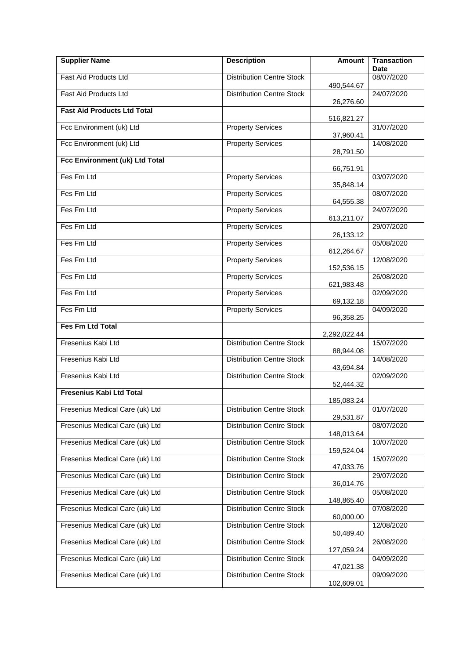| <b>Supplier Name</b>               | <b>Description</b>               | <b>Amount</b> | <b>Transaction</b><br><b>Date</b> |
|------------------------------------|----------------------------------|---------------|-----------------------------------|
| Fast Aid Products Ltd              | <b>Distribution Centre Stock</b> | 490,544.67    | 08/07/2020                        |
| Fast Aid Products Ltd              | <b>Distribution Centre Stock</b> | 26,276.60     | 24/07/2020                        |
| <b>Fast Aid Products Ltd Total</b> |                                  | 516,821.27    |                                   |
| Fcc Environment (uk) Ltd           | <b>Property Services</b>         | 37,960.41     | 31/07/2020                        |
| Fcc Environment (uk) Ltd           | <b>Property Services</b>         | 28,791.50     | 14/08/2020                        |
| Fcc Environment (uk) Ltd Total     |                                  | 66,751.91     |                                   |
| Fes Fm Ltd                         | <b>Property Services</b>         | 35,848.14     | 03/07/2020                        |
| Fes Fm Ltd                         | <b>Property Services</b>         | 64,555.38     | 08/07/2020                        |
| Fes Fm Ltd                         | <b>Property Services</b>         | 613,211.07    | 24/07/2020                        |
| Fes Fm Ltd                         | <b>Property Services</b>         | 26,133.12     | 29/07/2020                        |
| Fes Fm Ltd                         | <b>Property Services</b>         | 612,264.67    | 05/08/2020                        |
| Fes Fm Ltd                         | <b>Property Services</b>         | 152,536.15    | 12/08/2020                        |
| Fes Fm Ltd                         | <b>Property Services</b>         | 621,983.48    | 26/08/2020                        |
| Fes Fm Ltd                         | <b>Property Services</b>         | 69,132.18     | 02/09/2020                        |
| Fes Fm Ltd                         | <b>Property Services</b>         | 96,358.25     | 04/09/2020                        |
| <b>Fes Fm Ltd Total</b>            |                                  | 2,292,022.44  |                                   |
| Fresenius Kabi Ltd                 | <b>Distribution Centre Stock</b> | 88,944.08     | 15/07/2020                        |
| Fresenius Kabi Ltd                 | <b>Distribution Centre Stock</b> | 43,694.84     | 14/08/2020                        |
| Fresenius Kabi Ltd                 | <b>Distribution Centre Stock</b> | 52,444.32     | 02/09/2020                        |
| <b>Fresenius Kabi Ltd Total</b>    |                                  | 185,083.24    |                                   |
| Fresenius Medical Care (uk) Ltd    | <b>Distribution Centre Stock</b> | 29,531.87     | 01/07/2020                        |
| Fresenius Medical Care (uk) Ltd    | <b>Distribution Centre Stock</b> | 148,013.64    | 08/07/2020                        |
| Fresenius Medical Care (uk) Ltd    | <b>Distribution Centre Stock</b> | 159,524.04    | 10/07/2020                        |
| Fresenius Medical Care (uk) Ltd    | <b>Distribution Centre Stock</b> | 47,033.76     | 15/07/2020                        |
| Fresenius Medical Care (uk) Ltd    | <b>Distribution Centre Stock</b> | 36,014.76     | 29/07/2020                        |
| Fresenius Medical Care (uk) Ltd    | <b>Distribution Centre Stock</b> | 148,865.40    | 05/08/2020                        |
| Fresenius Medical Care (uk) Ltd    | <b>Distribution Centre Stock</b> | 60,000.00     | 07/08/2020                        |
| Fresenius Medical Care (uk) Ltd    | <b>Distribution Centre Stock</b> | 50,489.40     | 12/08/2020                        |
| Fresenius Medical Care (uk) Ltd    | <b>Distribution Centre Stock</b> | 127,059.24    | 26/08/2020                        |
| Fresenius Medical Care (uk) Ltd    | <b>Distribution Centre Stock</b> | 47,021.38     | 04/09/2020                        |
| Fresenius Medical Care (uk) Ltd    | <b>Distribution Centre Stock</b> | 102,609.01    | 09/09/2020                        |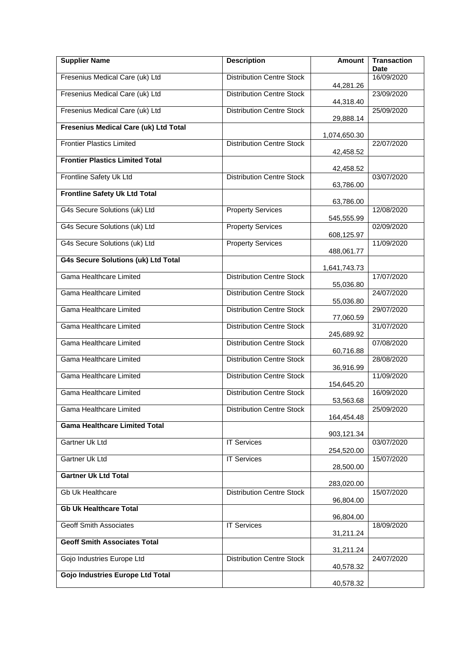| <b>Supplier Name</b>                       | <b>Description</b>               | Amount       | <b>Transaction</b><br><b>Date</b> |
|--------------------------------------------|----------------------------------|--------------|-----------------------------------|
| Fresenius Medical Care (uk) Ltd            | <b>Distribution Centre Stock</b> | 44,281.26    | 16/09/2020                        |
| Fresenius Medical Care (uk) Ltd            | <b>Distribution Centre Stock</b> | 44,318.40    | 23/09/2020                        |
| Fresenius Medical Care (uk) Ltd            | <b>Distribution Centre Stock</b> | 29,888.14    | 25/09/2020                        |
| Fresenius Medical Care (uk) Ltd Total      |                                  | 1,074,650.30 |                                   |
| <b>Frontier Plastics Limited</b>           | <b>Distribution Centre Stock</b> | 42,458.52    | 22/07/2020                        |
| <b>Frontier Plastics Limited Total</b>     |                                  | 42,458.52    |                                   |
| Frontline Safety Uk Ltd                    | <b>Distribution Centre Stock</b> | 63,786.00    | 03/07/2020                        |
| <b>Frontline Safety Uk Ltd Total</b>       |                                  | 63,786.00    |                                   |
| G4s Secure Solutions (uk) Ltd              | <b>Property Services</b>         | 545,555.99   | 12/08/2020                        |
| G4s Secure Solutions (uk) Ltd              | <b>Property Services</b>         |              | 02/09/2020                        |
| G4s Secure Solutions (uk) Ltd              | <b>Property Services</b>         | 608,125.97   | 11/09/2020                        |
| <b>G4s Secure Solutions (uk) Ltd Total</b> |                                  | 488,061.77   |                                   |
| Gama Healthcare Limited                    | <b>Distribution Centre Stock</b> | 1,641,743.73 | 17/07/2020                        |
| Gama Healthcare Limited                    | <b>Distribution Centre Stock</b> | 55,036.80    | 24/07/2020                        |
| Gama Healthcare Limited                    | <b>Distribution Centre Stock</b> | 55,036.80    | 29/07/2020                        |
| Gama Healthcare Limited                    | <b>Distribution Centre Stock</b> | 77,060.59    | 31/07/2020                        |
| Gama Healthcare Limited                    | <b>Distribution Centre Stock</b> | 245,689.92   | 07/08/2020                        |
| Gama Healthcare Limited                    | <b>Distribution Centre Stock</b> | 60,716.88    | 28/08/2020                        |
| Gama Healthcare Limited                    | <b>Distribution Centre Stock</b> | 36,916.99    | 11/09/2020                        |
| Gama Healthcare Limited                    | <b>Distribution Centre Stock</b> | 154,645.20   | 16/09/2020                        |
|                                            |                                  | 53,563.68    |                                   |
| Gama Healthcare Limited                    | <b>Distribution Centre Stock</b> | 164,454.48   | 25/09/2020                        |
| <b>Gama Healthcare Limited Total</b>       |                                  | 903,121.34   |                                   |
| Gartner Uk Ltd                             | <b>IT Services</b>               | 254,520.00   | 03/07/2020                        |
| Gartner Uk Ltd                             | <b>IT Services</b>               | 28,500.00    | 15/07/2020                        |
| <b>Gartner Uk Ltd Total</b>                |                                  | 283,020.00   |                                   |
| Gb Uk Healthcare                           | <b>Distribution Centre Stock</b> | 96,804.00    | 15/07/2020                        |
| <b>Gb Uk Healthcare Total</b>              |                                  | 96,804.00    |                                   |
| <b>Geoff Smith Associates</b>              | <b>IT Services</b>               | 31,211.24    | 18/09/2020                        |
| <b>Geoff Smith Associates Total</b>        |                                  | 31,211.24    |                                   |
| Gojo Industries Europe Ltd                 | <b>Distribution Centre Stock</b> | 40,578.32    | 24/07/2020                        |
| <b>Gojo Industries Europe Ltd Total</b>    |                                  | 40,578.32    |                                   |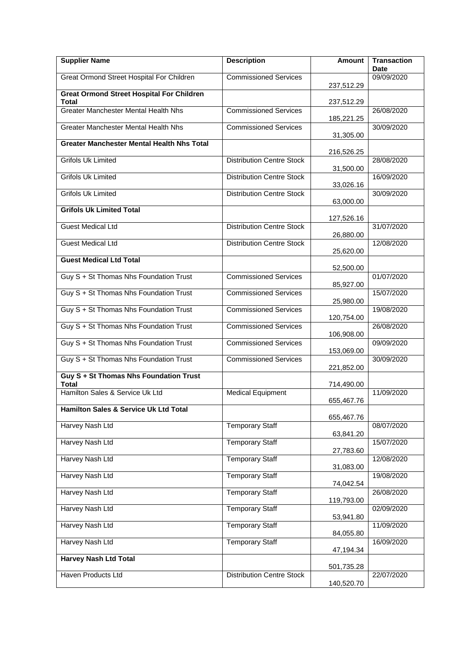| <b>Supplier Name</b>                                      | <b>Description</b>               | <b>Amount</b> | <b>Transaction</b><br><b>Date</b> |
|-----------------------------------------------------------|----------------------------------|---------------|-----------------------------------|
| Great Ormond Street Hospital For Children                 | <b>Commissioned Services</b>     | 237,512.29    | 09/09/2020                        |
| <b>Great Ormond Street Hospital For Children</b><br>Total |                                  | 237,512.29    |                                   |
| <b>Greater Manchester Mental Health Nhs</b>               | <b>Commissioned Services</b>     | 185,221.25    | 26/08/2020                        |
| <b>Greater Manchester Mental Health Nhs</b>               | <b>Commissioned Services</b>     | 31,305.00     | 30/09/2020                        |
| <b>Greater Manchester Mental Health Nhs Total</b>         |                                  |               |                                   |
| <b>Grifols Uk Limited</b>                                 | <b>Distribution Centre Stock</b> | 216,526.25    | 28/08/2020                        |
| <b>Grifols Uk Limited</b>                                 | <b>Distribution Centre Stock</b> | 31,500.00     | 16/09/2020                        |
| <b>Grifols Uk Limited</b>                                 | <b>Distribution Centre Stock</b> | 33,026.16     | 30/09/2020                        |
| <b>Grifols Uk Limited Total</b>                           |                                  | 63,000.00     |                                   |
| <b>Guest Medical Ltd</b>                                  | <b>Distribution Centre Stock</b> | 127,526.16    | 31/07/2020                        |
| <b>Guest Medical Ltd</b>                                  | <b>Distribution Centre Stock</b> | 26,880.00     | 12/08/2020                        |
| <b>Guest Medical Ltd Total</b>                            |                                  | 25,620.00     |                                   |
| Guy S + St Thomas Nhs Foundation Trust                    | <b>Commissioned Services</b>     | 52,500.00     | 01/07/2020                        |
| Guy S + St Thomas Nhs Foundation Trust                    | <b>Commissioned Services</b>     | 85,927.00     | 15/07/2020                        |
| Guy S + St Thomas Nhs Foundation Trust                    | <b>Commissioned Services</b>     | 25,980.00     | 19/08/2020                        |
| Guy S + St Thomas Nhs Foundation Trust                    | <b>Commissioned Services</b>     | 120,754.00    | 26/08/2020                        |
| Guy S + St Thomas Nhs Foundation Trust                    | <b>Commissioned Services</b>     | 106,908.00    | 09/09/2020                        |
| Guy S + St Thomas Nhs Foundation Trust                    | <b>Commissioned Services</b>     | 153,069.00    | 30/09/2020                        |
| Guy S + St Thomas Nhs Foundation Trust                    |                                  | 221,852.00    |                                   |
| <b>Total</b><br>Hamilton Sales & Service Uk Ltd           | <b>Medical Equipment</b>         | 714,490.00    | 11/09/2020                        |
| Hamilton Sales & Service Uk Ltd Total                     |                                  | 655,467.76    |                                   |
| Harvey Nash Ltd                                           | <b>Temporary Staff</b>           | 655,467.76    | 08/07/2020                        |
| Harvey Nash Ltd                                           | <b>Temporary Staff</b>           | 63,841.20     | 15/07/2020                        |
| Harvey Nash Ltd                                           | <b>Temporary Staff</b>           | 27,783.60     | 12/08/2020                        |
| Harvey Nash Ltd                                           | <b>Temporary Staff</b>           | 31,083.00     | 19/08/2020                        |
| Harvey Nash Ltd                                           | <b>Temporary Staff</b>           | 74,042.54     | 26/08/2020                        |
| Harvey Nash Ltd                                           | <b>Temporary Staff</b>           | 119,793.00    | 02/09/2020                        |
| Harvey Nash Ltd                                           | <b>Temporary Staff</b>           | 53,941.80     | 11/09/2020                        |
| Harvey Nash Ltd                                           | <b>Temporary Staff</b>           | 84,055.80     | 16/09/2020                        |
| <b>Harvey Nash Ltd Total</b>                              |                                  | 47,194.34     |                                   |
| Haven Products Ltd                                        | <b>Distribution Centre Stock</b> | 501,735.28    | 22/07/2020                        |
|                                                           |                                  | 140,520.70    |                                   |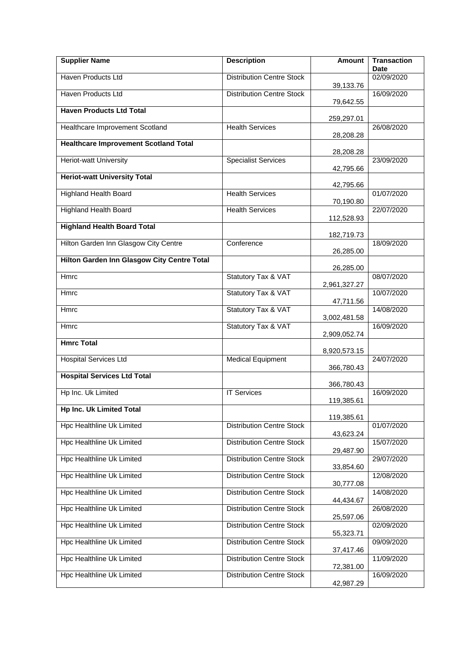| <b>Supplier Name</b>                         | <b>Description</b>               | <b>Amount</b> | <b>Transaction</b><br><b>Date</b> |
|----------------------------------------------|----------------------------------|---------------|-----------------------------------|
| Haven Products Ltd                           | <b>Distribution Centre Stock</b> | 39,133.76     | 02/09/2020                        |
| Haven Products Ltd                           | <b>Distribution Centre Stock</b> | 79,642.55     | 16/09/2020                        |
| <b>Haven Products Ltd Total</b>              |                                  | 259,297.01    |                                   |
| Healthcare Improvement Scotland              | <b>Health Services</b>           | 28,208.28     | 26/08/2020                        |
| <b>Healthcare Improvement Scotland Total</b> |                                  | 28,208.28     |                                   |
| <b>Heriot-watt University</b>                | <b>Specialist Services</b>       | 42,795.66     | 23/09/2020                        |
| <b>Heriot-watt University Total</b>          |                                  | 42,795.66     |                                   |
| <b>Highland Health Board</b>                 | <b>Health Services</b>           | 70,190.80     | 01/07/2020                        |
| <b>Highland Health Board</b>                 | <b>Health Services</b>           | 112,528.93    | 22/07/2020                        |
| <b>Highland Health Board Total</b>           |                                  | 182,719.73    |                                   |
| Hilton Garden Inn Glasgow City Centre        | Conference                       | 26,285.00     | 18/09/2020                        |
| Hilton Garden Inn Glasgow City Centre Total  |                                  | 26,285.00     |                                   |
| Hmrc                                         | Statutory Tax & VAT              | 2,961,327.27  | 08/07/2020                        |
| Hmrc                                         | Statutory Tax & VAT              | 47,711.56     | 10/07/2020                        |
| Hmrc                                         | Statutory Tax & VAT              | 3,002,481.58  | 14/08/2020                        |
| <b>Hmrc</b>                                  | Statutory Tax & VAT              | 2,909,052.74  | 16/09/2020                        |
| <b>Hmrc Total</b>                            |                                  | 8,920,573.15  |                                   |
| <b>Hospital Services Ltd</b>                 | <b>Medical Equipment</b>         | 366,780.43    | 24/07/2020                        |
| <b>Hospital Services Ltd Total</b>           |                                  | 366,780.43    |                                   |
| Hp Inc. Uk Limited                           | <b>IT Services</b>               | 119,385.61    | 16/09/2020                        |
| <b>Hp Inc. Uk Limited Total</b>              |                                  | 119,385.61    |                                   |
| Hpc Healthline Uk Limited                    | <b>Distribution Centre Stock</b> | 43,623.24     | 01/07/2020                        |
| <b>Hpc Healthline Uk Limited</b>             | <b>Distribution Centre Stock</b> | 29,487.90     | 15/07/2020                        |
| <b>Hpc Healthline Uk Limited</b>             | <b>Distribution Centre Stock</b> | 33,854.60     | 29/07/2020                        |
| <b>Hpc Healthline Uk Limited</b>             | <b>Distribution Centre Stock</b> | 30,777.08     | 12/08/2020                        |
| Hpc Healthline Uk Limited                    | <b>Distribution Centre Stock</b> | 44,434.67     | 14/08/2020                        |
| Hpc Healthline Uk Limited                    | <b>Distribution Centre Stock</b> | 25,597.06     | 26/08/2020                        |
| Hpc Healthline Uk Limited                    | <b>Distribution Centre Stock</b> | 55,323.71     | 02/09/2020                        |
| <b>Hpc Healthline Uk Limited</b>             | <b>Distribution Centre Stock</b> | 37,417.46     | 09/09/2020                        |
| Hpc Healthline Uk Limited                    | <b>Distribution Centre Stock</b> | 72,381.00     | 11/09/2020                        |
| Hpc Healthline Uk Limited                    | <b>Distribution Centre Stock</b> | 42,987.29     | 16/09/2020                        |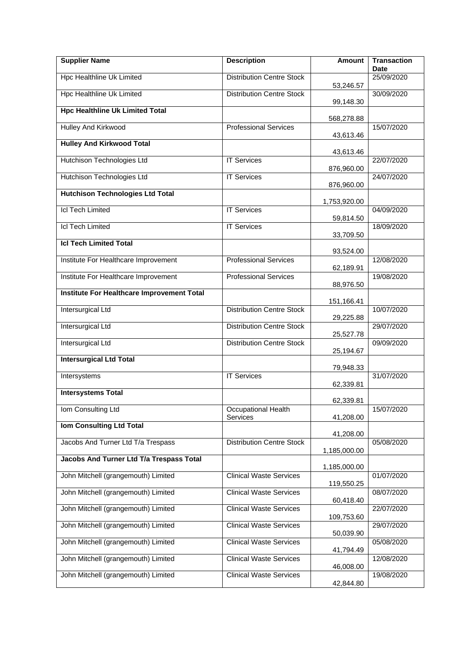| <b>Supplier Name</b>                              | <b>Description</b>               | <b>Amount</b> | <b>Transaction</b><br><b>Date</b> |
|---------------------------------------------------|----------------------------------|---------------|-----------------------------------|
| <b>Hpc Healthline Uk Limited</b>                  | <b>Distribution Centre Stock</b> | 53,246.57     | 25/09/2020                        |
| <b>Hpc Healthline Uk Limited</b>                  | <b>Distribution Centre Stock</b> | 99,148.30     | 30/09/2020                        |
| <b>Hpc Healthline Uk Limited Total</b>            |                                  | 568,278.88    |                                   |
| Hulley And Kirkwood                               | <b>Professional Services</b>     | 43,613.46     | 15/07/2020                        |
| <b>Hulley And Kirkwood Total</b>                  |                                  | 43,613.46     |                                   |
| Hutchison Technologies Ltd                        | <b>IT Services</b>               | 876,960.00    | 22/07/2020                        |
| Hutchison Technologies Ltd                        | <b>IT Services</b>               | 876,960.00    | 24/07/2020                        |
| <b>Hutchison Technologies Ltd Total</b>           |                                  | 1,753,920.00  |                                   |
| <b>Icl Tech Limited</b>                           | <b>IT Services</b>               | 59,814.50     | 04/09/2020                        |
| <b>Icl Tech Limited</b>                           | <b>IT Services</b>               | 33,709.50     | 18/09/2020                        |
| <b>Icl Tech Limited Total</b>                     |                                  | 93,524.00     |                                   |
| Institute For Healthcare Improvement              | <b>Professional Services</b>     | 62,189.91     | 12/08/2020                        |
| Institute For Healthcare Improvement              | <b>Professional Services</b>     | 88,976.50     | 19/08/2020                        |
| <b>Institute For Healthcare Improvement Total</b> |                                  |               |                                   |
| Intersurgical Ltd                                 | <b>Distribution Centre Stock</b> | 151,166.41    | 10/07/2020                        |
| Intersurgical Ltd                                 | <b>Distribution Centre Stock</b> | 29,225.88     | 29/07/2020                        |
| <b>Intersurgical Ltd</b>                          | <b>Distribution Centre Stock</b> | 25,527.78     | 09/09/2020                        |
| <b>Intersurgical Ltd Total</b>                    |                                  | 25,194.67     |                                   |
| Intersystems                                      | <b>IT Services</b>               | 79,948.33     | 31/07/2020                        |
| <b>Intersystems Total</b>                         |                                  | 62,339.81     |                                   |
| Iom Consulting Ltd                                | Occupational Health              | 62,339.81     | 15/07/2020                        |
| <b>Iom Consulting Ltd Total</b>                   | <b>Services</b>                  | 41,208.00     |                                   |
| Jacobs And Turner Ltd T/a Trespass                | <b>Distribution Centre Stock</b> | 41,208.00     | 05/08/2020                        |
| Jacobs And Turner Ltd T/a Trespass Total          |                                  | 1,185,000.00  |                                   |
| John Mitchell (grangemouth) Limited               | <b>Clinical Waste Services</b>   | 1,185,000.00  | 01/07/2020                        |
| John Mitchell (grangemouth) Limited               | <b>Clinical Waste Services</b>   | 119,550.25    | 08/07/2020                        |
| John Mitchell (grangemouth) Limited               | <b>Clinical Waste Services</b>   | 60,418.40     | 22/07/2020                        |
| John Mitchell (grangemouth) Limited               | <b>Clinical Waste Services</b>   | 109,753.60    | 29/07/2020                        |
| John Mitchell (grangemouth) Limited               | <b>Clinical Waste Services</b>   | 50,039.90     | 05/08/2020                        |
| John Mitchell (grangemouth) Limited               | <b>Clinical Waste Services</b>   | 41,794.49     | 12/08/2020                        |
| John Mitchell (grangemouth) Limited               | <b>Clinical Waste Services</b>   | 46,008.00     | 19/08/2020                        |
|                                                   |                                  | 42,844.80     |                                   |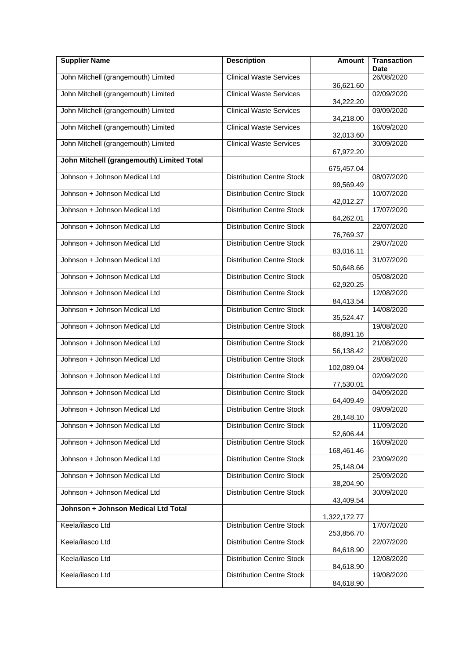| <b>Supplier Name</b>                      | <b>Description</b>               | <b>Amount</b> | <b>Transaction</b><br><b>Date</b> |
|-------------------------------------------|----------------------------------|---------------|-----------------------------------|
| John Mitchell (grangemouth) Limited       | <b>Clinical Waste Services</b>   |               | 26/08/2020                        |
|                                           |                                  | 36,621.60     |                                   |
| John Mitchell (grangemouth) Limited       | <b>Clinical Waste Services</b>   | 34,222.20     | 02/09/2020                        |
| John Mitchell (grangemouth) Limited       | <b>Clinical Waste Services</b>   | 34,218.00     | 09/09/2020                        |
| John Mitchell (grangemouth) Limited       | <b>Clinical Waste Services</b>   | 32,013.60     | 16/09/2020                        |
| John Mitchell (grangemouth) Limited       | <b>Clinical Waste Services</b>   | 67,972.20     | 30/09/2020                        |
| John Mitchell (grangemouth) Limited Total |                                  | 675,457.04    |                                   |
| Johnson + Johnson Medical Ltd             | <b>Distribution Centre Stock</b> | 99,569.49     | 08/07/2020                        |
| Johnson + Johnson Medical Ltd             | <b>Distribution Centre Stock</b> | 42,012.27     | 10/07/2020                        |
| Johnson + Johnson Medical Ltd             | <b>Distribution Centre Stock</b> | 64,262.01     | 17/07/2020                        |
| Johnson + Johnson Medical Ltd             | Distribution Centre Stock        | 76,769.37     | 22/07/2020                        |
| Johnson + Johnson Medical Ltd             | <b>Distribution Centre Stock</b> |               | 29/07/2020                        |
| Johnson + Johnson Medical Ltd             | <b>Distribution Centre Stock</b> | 83,016.11     | 31/07/2020                        |
| Johnson + Johnson Medical Ltd             | <b>Distribution Centre Stock</b> | 50,648.66     | 05/08/2020                        |
| Johnson + Johnson Medical Ltd             | <b>Distribution Centre Stock</b> | 62,920.25     | 12/08/2020                        |
| Johnson + Johnson Medical Ltd             | <b>Distribution Centre Stock</b> | 84,413.54     | 14/08/2020                        |
| Johnson + Johnson Medical Ltd             | <b>Distribution Centre Stock</b> | 35,524.47     | 19/08/2020                        |
| Johnson + Johnson Medical Ltd             | <b>Distribution Centre Stock</b> | 66,891.16     | 21/08/2020                        |
| Johnson + Johnson Medical Ltd             | <b>Distribution Centre Stock</b> | 56,138.42     | 28/08/2020                        |
| Johnson + Johnson Medical Ltd             | <b>Distribution Centre Stock</b> | 102,089.04    | 02/09/2020                        |
| Johnson + Johnson Medical Ltd             | <b>Distribution Centre Stock</b> | 77,530.01     | 04/09/2020                        |
| Johnson + Johnson Medical Ltd             | <b>Distribution Centre Stock</b> | 64,409.49     | 09/09/2020                        |
| Johnson + Johnson Medical Ltd             | <b>Distribution Centre Stock</b> | 28,148.10     | 11/09/2020                        |
| Johnson + Johnson Medical Ltd             | <b>Distribution Centre Stock</b> | 52,606.44     | 16/09/2020                        |
| Johnson + Johnson Medical Ltd             | <b>Distribution Centre Stock</b> | 168,461.46    | 23/09/2020                        |
| Johnson + Johnson Medical Ltd             | <b>Distribution Centre Stock</b> | 25,148.04     | 25/09/2020                        |
| Johnson + Johnson Medical Ltd             | <b>Distribution Centre Stock</b> | 38,204.90     | 30/09/2020                        |
| Johnson + Johnson Medical Ltd Total       |                                  | 43,409.54     |                                   |
| Keela/ilasco Ltd                          | <b>Distribution Centre Stock</b> | 1,322,172.77  | 17/07/2020                        |
|                                           |                                  | 253,856.70    |                                   |
| Keela/ilasco Ltd                          | <b>Distribution Centre Stock</b> | 84,618.90     | 22/07/2020                        |
| Keela/ilasco Ltd                          | <b>Distribution Centre Stock</b> | 84,618.90     | 12/08/2020                        |
| Keela/ilasco Ltd                          | <b>Distribution Centre Stock</b> | 84,618.90     | 19/08/2020                        |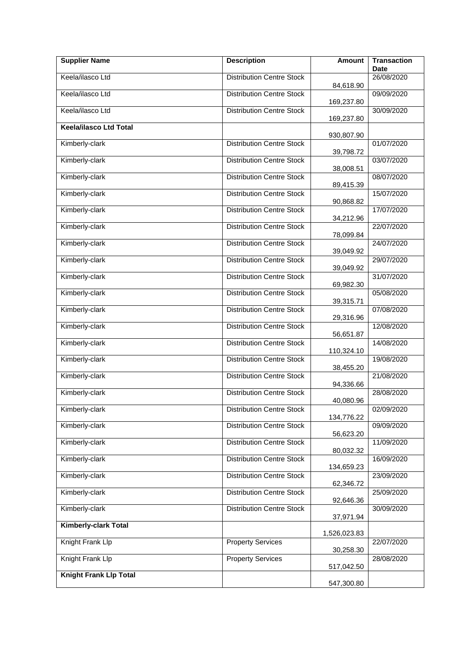| <b>Supplier Name</b>          | <b>Description</b>               | <b>Amount</b> | <b>Transaction</b><br><b>Date</b> |
|-------------------------------|----------------------------------|---------------|-----------------------------------|
| Keela/ilasco Ltd              | <b>Distribution Centre Stock</b> | 84,618.90     | 26/08/2020                        |
| Keela/ilasco Ltd              | <b>Distribution Centre Stock</b> | 169,237.80    | 09/09/2020                        |
| Keela/ilasco Ltd              | <b>Distribution Centre Stock</b> | 169,237.80    | 30/09/2020                        |
| <b>Keela/ilasco Ltd Total</b> |                                  | 930,807.90    |                                   |
| Kimberly-clark                | <b>Distribution Centre Stock</b> |               | 01/07/2020                        |
| Kimberly-clark                | <b>Distribution Centre Stock</b> | 39,798.72     | 03/07/2020                        |
| Kimberly-clark                | <b>Distribution Centre Stock</b> | 38,008.51     | 08/07/2020                        |
| Kimberly-clark                | <b>Distribution Centre Stock</b> | 89,415.39     | 15/07/2020                        |
| Kimberly-clark                | <b>Distribution Centre Stock</b> | 90,868.82     | 17/07/2020                        |
| Kimberly-clark                | <b>Distribution Centre Stock</b> | 34,212.96     | 22/07/2020                        |
| Kimberly-clark                | <b>Distribution Centre Stock</b> | 78,099.84     | 24/07/2020                        |
| Kimberly-clark                | <b>Distribution Centre Stock</b> | 39,049.92     | 29/07/2020                        |
| Kimberly-clark                | <b>Distribution Centre Stock</b> | 39,049.92     | 31/07/2020                        |
| Kimberly-clark                | <b>Distribution Centre Stock</b> | 69,982.30     | 05/08/2020                        |
| Kimberly-clark                | <b>Distribution Centre Stock</b> | 39,315.71     | 07/08/2020                        |
| Kimberly-clark                | <b>Distribution Centre Stock</b> | 29,316.96     | 12/08/2020                        |
| Kimberly-clark                | <b>Distribution Centre Stock</b> | 56,651.87     | 14/08/2020                        |
| Kimberly-clark                | <b>Distribution Centre Stock</b> | 110,324.10    | 19/08/2020                        |
| Kimberly-clark                | <b>Distribution Centre Stock</b> | 38,455.20     | 21/08/2020                        |
| Kimberly-clark                | <b>Distribution Centre Stock</b> | 94,336.66     | 28/08/2020                        |
| Kimberly-clark                | <b>Distribution Centre Stock</b> | 40,080.96     | 02/09/2020                        |
| Kimberly-clark                | <b>Distribution Centre Stock</b> | 134,776.22    | 09/09/2020                        |
| Kimberly-clark                | <b>Distribution Centre Stock</b> | 56,623.20     | 11/09/2020                        |
| Kimberly-clark                | <b>Distribution Centre Stock</b> | 80,032.32     | 16/09/2020                        |
| Kimberly-clark                | <b>Distribution Centre Stock</b> | 134,659.23    | 23/09/2020                        |
| Kimberly-clark                | <b>Distribution Centre Stock</b> | 62,346.72     | 25/09/2020                        |
| Kimberly-clark                | <b>Distribution Centre Stock</b> | 92,646.36     | 30/09/2020                        |
| Kimberly-clark Total          |                                  | 37,971.94     |                                   |
| Knight Frank Llp              | <b>Property Services</b>         | 1,526,023.83  | 22/07/2020                        |
| Knight Frank Llp              | <b>Property Services</b>         | 30,258.30     | 28/08/2020                        |
| <b>Knight Frank Llp Total</b> |                                  | 517,042.50    |                                   |
|                               |                                  | 547,300.80    |                                   |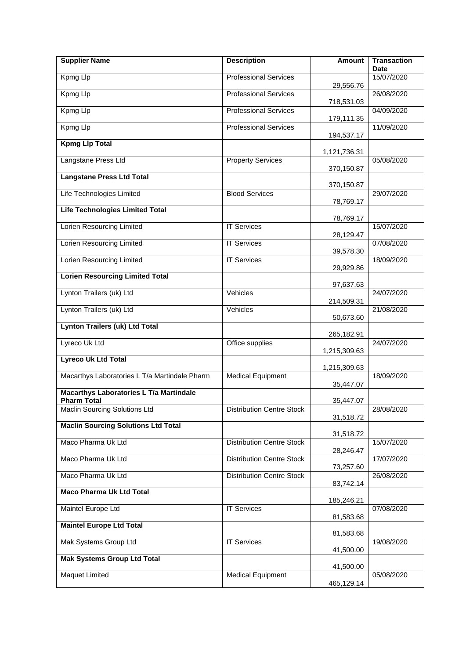| <b>Supplier Name</b>                                | <b>Description</b>               | <b>Amount</b>            | <b>Transaction</b><br><b>Date</b> |
|-----------------------------------------------------|----------------------------------|--------------------------|-----------------------------------|
| Kpmg Llp                                            | <b>Professional Services</b>     |                          | 15/07/2020                        |
| Kpmg Llp                                            | <b>Professional Services</b>     | 29,556.76                | 26/08/2020                        |
| Kpmg Llp                                            | <b>Professional Services</b>     | 718,531.03               | 04/09/2020                        |
| Kpmg Llp                                            | <b>Professional Services</b>     | 179,111.35<br>194,537.17 | 11/09/2020                        |
| <b>Kpmg Llp Total</b>                               |                                  |                          |                                   |
| Langstane Press Ltd                                 | <b>Property Services</b>         | 1,121,736.31             | 05/08/2020                        |
| <b>Langstane Press Ltd Total</b>                    |                                  | 370,150.87               |                                   |
| Life Technologies Limited                           | <b>Blood Services</b>            | 370,150.87               | 29/07/2020                        |
| <b>Life Technologies Limited Total</b>              |                                  | 78,769.17                |                                   |
| <b>Lorien Resourcing Limited</b>                    | <b>IT Services</b>               | 78,769.17                | 15/07/2020                        |
| <b>Lorien Resourcing Limited</b>                    | <b>IT Services</b>               | 28,129.47                | 07/08/2020                        |
|                                                     |                                  | 39,578.30                |                                   |
| Lorien Resourcing Limited                           | <b>IT Services</b>               | 29,929.86                | 18/09/2020                        |
| <b>Lorien Resourcing Limited Total</b>              |                                  | 97,637.63                |                                   |
| Lynton Trailers (uk) Ltd                            | Vehicles                         | 214,509.31               | 24/07/2020                        |
| Lynton Trailers (uk) Ltd                            | Vehicles                         | 50,673.60                | 21/08/2020                        |
| <b>Lynton Trailers (uk) Ltd Total</b>               |                                  | 265,182.91               |                                   |
| Lyreco Uk Ltd                                       | Office supplies                  | 1,215,309.63             | 24/07/2020                        |
| <b>Lyreco Uk Ltd Total</b>                          |                                  |                          |                                   |
| Macarthys Laboratories L T/a Martindale Pharm       | <b>Medical Equipment</b>         | 1,215,309.63             | 18/09/2020                        |
| <b>Macarthys Laboratories L T/a Martindale</b>      |                                  | 35,447.07                |                                   |
| <b>Pharm Total</b><br>Maclin Sourcing Solutions Ltd | <b>Distribution Centre Stock</b> | 35,447.07                | 28/08/2020                        |
| <b>Maclin Sourcing Solutions Ltd Total</b>          |                                  | 31,518.72                |                                   |
|                                                     |                                  | 31,518.72                |                                   |
| Maco Pharma Uk Ltd                                  | <b>Distribution Centre Stock</b> | 28,246.47                | 15/07/2020                        |
| Maco Pharma Uk Ltd                                  | <b>Distribution Centre Stock</b> | 73,257.60                | 17/07/2020                        |
| Maco Pharma Uk Ltd                                  | <b>Distribution Centre Stock</b> | 83,742.14                | 26/08/2020                        |
| <b>Maco Pharma Uk Ltd Total</b>                     |                                  | 185,246.21               |                                   |
| Maintel Europe Ltd                                  | <b>IT Services</b>               | 81,583.68                | 07/08/2020                        |
| <b>Maintel Europe Ltd Total</b>                     |                                  | 81,583.68                |                                   |
| Mak Systems Group Ltd                               | <b>IT Services</b>               | 41,500.00                | 19/08/2020                        |
| <b>Mak Systems Group Ltd Total</b>                  |                                  |                          |                                   |
| <b>Maquet Limited</b>                               | <b>Medical Equipment</b>         | 41,500.00                | 05/08/2020                        |
|                                                     |                                  | 465,129.14               |                                   |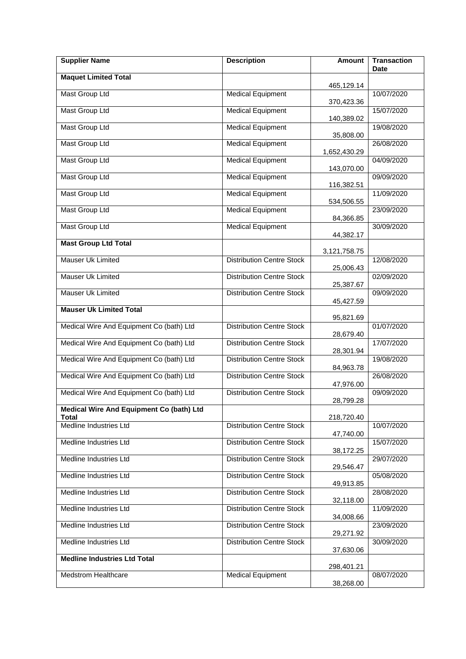| <b>Supplier Name</b>                     | <b>Description</b>               | <b>Amount</b> | <b>Transaction</b><br><b>Date</b> |
|------------------------------------------|----------------------------------|---------------|-----------------------------------|
| <b>Maquet Limited Total</b>              |                                  | 465,129.14    |                                   |
| <b>Mast Group Ltd</b>                    | <b>Medical Equipment</b>         | 370,423.36    | 10/07/2020                        |
| <b>Mast Group Ltd</b>                    | <b>Medical Equipment</b>         | 140,389.02    | 15/07/2020                        |
| <b>Mast Group Ltd</b>                    | <b>Medical Equipment</b>         | 35,808.00     | 19/08/2020                        |
| <b>Mast Group Ltd</b>                    | <b>Medical Equipment</b>         | 1,652,430.29  | 26/08/2020                        |
| <b>Mast Group Ltd</b>                    | <b>Medical Equipment</b>         | 143,070.00    | 04/09/2020                        |
| Mast Group Ltd                           | <b>Medical Equipment</b>         | 116,382.51    | 09/09/2020                        |
| <b>Mast Group Ltd</b>                    | <b>Medical Equipment</b>         | 534,506.55    | 11/09/2020                        |
| Mast Group Ltd                           | <b>Medical Equipment</b>         | 84,366.85     | 23/09/2020                        |
| <b>Mast Group Ltd</b>                    | <b>Medical Equipment</b>         | 44,382.17     | 30/09/2020                        |
| <b>Mast Group Ltd Total</b>              |                                  |               |                                   |
| <b>Mauser Uk Limited</b>                 | <b>Distribution Centre Stock</b> | 3,121,758.75  | 12/08/2020                        |
| Mauser Uk Limited                        | <b>Distribution Centre Stock</b> | 25,006.43     | 02/09/2020                        |
| Mauser Uk Limited                        | <b>Distribution Centre Stock</b> | 25,387.67     | 09/09/2020                        |
| <b>Mauser Uk Limited Total</b>           |                                  | 45,427.59     |                                   |
| Medical Wire And Equipment Co (bath) Ltd | <b>Distribution Centre Stock</b> | 95,821.69     | 01/07/2020                        |
| Medical Wire And Equipment Co (bath) Ltd | <b>Distribution Centre Stock</b> | 28,679.40     | 17/07/2020                        |
| Medical Wire And Equipment Co (bath) Ltd | <b>Distribution Centre Stock</b> | 28,301.94     | 19/08/2020                        |
| Medical Wire And Equipment Co (bath) Ltd | <b>Distribution Centre Stock</b> | 84,963.78     | 26/08/2020                        |
| Medical Wire And Equipment Co (bath) Ltd | <b>Distribution Centre Stock</b> | 47,976.00     | 09/09/2020                        |
| Medical Wire And Equipment Co (bath) Ltd |                                  | 28,799.28     |                                   |
| Total<br>Medline Industries Ltd          | <b>Distribution Centre Stock</b> | 218,720.40    | 10/07/2020                        |
| Medline Industries Ltd                   | <b>Distribution Centre Stock</b> | 47,740.00     | 15/07/2020                        |
| Medline Industries Ltd                   | <b>Distribution Centre Stock</b> | 38,172.25     | 29/07/2020                        |
| Medline Industries Ltd                   | <b>Distribution Centre Stock</b> | 29,546.47     | 05/08/2020                        |
| Medline Industries Ltd                   | <b>Distribution Centre Stock</b> | 49,913.85     | 28/08/2020                        |
| Medline Industries Ltd                   | <b>Distribution Centre Stock</b> | 32,118.00     | 11/09/2020                        |
| Medline Industries Ltd                   | <b>Distribution Centre Stock</b> | 34,008.66     | 23/09/2020                        |
| Medline Industries Ltd                   | <b>Distribution Centre Stock</b> | 29,271.92     | 30/09/2020                        |
| <b>Medline Industries Ltd Total</b>      |                                  | 37,630.06     |                                   |
| <b>Medstrom Healthcare</b>               |                                  | 298,401.21    |                                   |
|                                          | <b>Medical Equipment</b>         | 38,268.00     | 08/07/2020                        |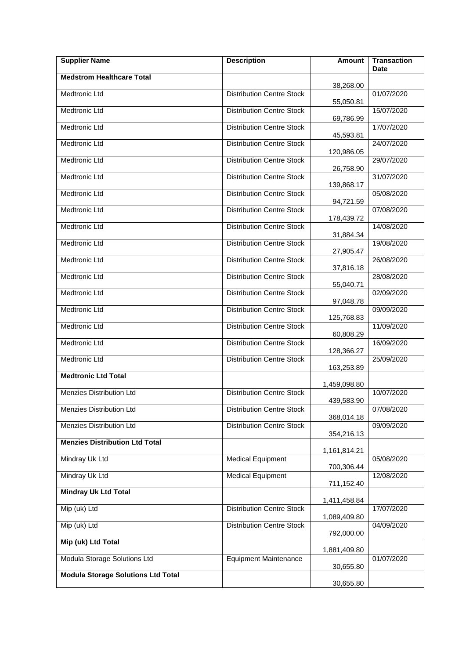| <b>Supplier Name</b>                      | <b>Description</b>               | Amount       | <b>Transaction</b><br><b>Date</b> |
|-------------------------------------------|----------------------------------|--------------|-----------------------------------|
| <b>Medstrom Healthcare Total</b>          |                                  | 38,268.00    |                                   |
| Medtronic Ltd                             | <b>Distribution Centre Stock</b> | 55,050.81    | 01/07/2020                        |
| Medtronic Ltd                             | <b>Distribution Centre Stock</b> | 69,786.99    | 15/07/2020                        |
| Medtronic Ltd                             | <b>Distribution Centre Stock</b> | 45,593.81    | 17/07/2020                        |
| <b>Medtronic Ltd</b>                      | <b>Distribution Centre Stock</b> | 120,986.05   | 24/07/2020                        |
| <b>Medtronic Ltd</b>                      | <b>Distribution Centre Stock</b> | 26,758.90    | 29/07/2020                        |
| <b>Medtronic Ltd</b>                      | <b>Distribution Centre Stock</b> | 139,868.17   | 31/07/2020                        |
| Medtronic Ltd                             | <b>Distribution Centre Stock</b> | 94,721.59    | 05/08/2020                        |
| Medtronic Ltd                             | <b>Distribution Centre Stock</b> | 178,439.72   | 07/08/2020                        |
| Medtronic Ltd                             | <b>Distribution Centre Stock</b> | 31,884.34    | 14/08/2020                        |
| Medtronic Ltd                             | <b>Distribution Centre Stock</b> | 27,905.47    | 19/08/2020                        |
| Medtronic Ltd                             | <b>Distribution Centre Stock</b> | 37,816.18    | 26/08/2020                        |
| Medtronic Ltd                             | <b>Distribution Centre Stock</b> | 55,040.71    | 28/08/2020                        |
| Medtronic Ltd                             | <b>Distribution Centre Stock</b> | 97,048.78    | 02/09/2020                        |
| Medtronic Ltd                             | <b>Distribution Centre Stock</b> | 125,768.83   | 09/09/2020                        |
| <b>Medtronic Ltd</b>                      | <b>Distribution Centre Stock</b> | 60,808.29    | 11/09/2020                        |
| Medtronic Ltd                             | <b>Distribution Centre Stock</b> | 128,366.27   | 16/09/2020                        |
| Medtronic Ltd                             | <b>Distribution Centre Stock</b> | 163,253.89   | 25/09/2020                        |
| <b>Medtronic Ltd Total</b>                |                                  | 1,459,098.80 |                                   |
| Menzies Distribution Ltd                  | Distribution Centre Stock        | 439,583.90   | 10/07/2020                        |
| Menzies Distribution Ltd                  | <b>Distribution Centre Stock</b> | 368,014.18   | 07/08/2020                        |
| Menzies Distribution Ltd                  | <b>Distribution Centre Stock</b> | 354,216.13   | 09/09/2020                        |
| <b>Menzies Distribution Ltd Total</b>     |                                  | 1,161,814.21 |                                   |
| Mindray Uk Ltd                            | <b>Medical Equipment</b>         | 700,306.44   | 05/08/2020                        |
| Mindray Uk Ltd                            | <b>Medical Equipment</b>         | 711,152.40   | 12/08/2020                        |
| <b>Mindray Uk Ltd Total</b>               |                                  | 1,411,458.84 |                                   |
| Mip (uk) Ltd                              | <b>Distribution Centre Stock</b> | 1,089,409.80 | 17/07/2020                        |
| Mip (uk) Ltd                              | <b>Distribution Centre Stock</b> | 792,000.00   | 04/09/2020                        |
| Mip (uk) Ltd Total                        |                                  | 1,881,409.80 |                                   |
| Modula Storage Solutions Ltd              | <b>Equipment Maintenance</b>     | 30,655.80    | 01/07/2020                        |
| <b>Modula Storage Solutions Ltd Total</b> |                                  | 30,655.80    |                                   |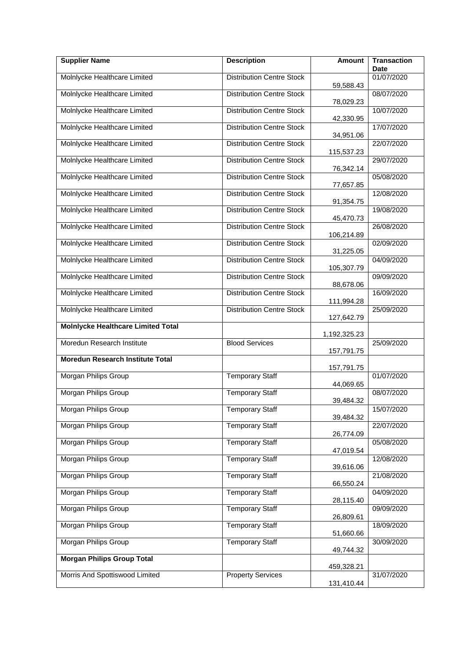| <b>Supplier Name</b>                      | <b>Description</b>               | <b>Amount</b>          | <b>Transaction</b><br><b>Date</b> |
|-------------------------------------------|----------------------------------|------------------------|-----------------------------------|
| Molnlycke Healthcare Limited              | <b>Distribution Centre Stock</b> |                        | 01/07/2020                        |
| Molnlycke Healthcare Limited              | <b>Distribution Centre Stock</b> | 59,588.43<br>78,029.23 | 08/07/2020                        |
| Molnlycke Healthcare Limited              | <b>Distribution Centre Stock</b> | 42,330.95              | 10/07/2020                        |
| Molnlycke Healthcare Limited              | <b>Distribution Centre Stock</b> | 34,951.06              | 17/07/2020                        |
| Molnlycke Healthcare Limited              | <b>Distribution Centre Stock</b> | 115,537.23             | 22/07/2020                        |
| Molnlycke Healthcare Limited              | <b>Distribution Centre Stock</b> | 76,342.14              | 29/07/2020                        |
| Molnlycke Healthcare Limited              | <b>Distribution Centre Stock</b> | 77,657.85              | 05/08/2020                        |
| Molnlycke Healthcare Limited              | <b>Distribution Centre Stock</b> | 91,354.75              | 12/08/2020                        |
| Molnlycke Healthcare Limited              | <b>Distribution Centre Stock</b> | 45,470.73              | 19/08/2020                        |
| Molnlycke Healthcare Limited              | <b>Distribution Centre Stock</b> | 106,214.89             | 26/08/2020                        |
| Molnlycke Healthcare Limited              | <b>Distribution Centre Stock</b> | 31,225.05              | 02/09/2020                        |
| Molnlycke Healthcare Limited              | <b>Distribution Centre Stock</b> | 105,307.79             | 04/09/2020                        |
| Molnlycke Healthcare Limited              | <b>Distribution Centre Stock</b> | 88,678.06              | 09/09/2020                        |
| Molnlycke Healthcare Limited              | <b>Distribution Centre Stock</b> | 111,994.28             | 16/09/2020                        |
| Molnlycke Healthcare Limited              | <b>Distribution Centre Stock</b> | 127,642.79             | 25/09/2020                        |
| <b>Molnlycke Healthcare Limited Total</b> |                                  | 1,192,325.23           |                                   |
| Moredun Research Institute                | <b>Blood Services</b>            | 157,791.75             | 25/09/2020                        |
| <b>Moredun Research Institute Total</b>   |                                  | 157,791.75             |                                   |
| Morgan Philips Group                      | <b>Temporary Staff</b>           | 44,069.65              | 01/07/2020                        |
| Morgan Philips Group                      | <b>Temporary Staff</b>           | 39,484.32              | 08/07/2020                        |
| Morgan Philips Group                      | <b>Temporary Staff</b>           | 39,484.32              | 15/07/2020                        |
| Morgan Philips Group                      | <b>Temporary Staff</b>           | 26,774.09              | 22/07/2020                        |
| Morgan Philips Group                      | <b>Temporary Staff</b>           | 47,019.54              | 05/08/2020                        |
| Morgan Philips Group                      | <b>Temporary Staff</b>           | 39,616.06              | 12/08/2020                        |
| Morgan Philips Group                      | <b>Temporary Staff</b>           | 66,550.24              | 21/08/2020                        |
| Morgan Philips Group                      | <b>Temporary Staff</b>           |                        | 04/09/2020                        |
| Morgan Philips Group                      | <b>Temporary Staff</b>           | 28,115.40<br>26,809.61 | 09/09/2020                        |
| Morgan Philips Group                      | <b>Temporary Staff</b>           |                        | 18/09/2020                        |
| Morgan Philips Group                      | <b>Temporary Staff</b>           | 51,660.66<br>49,744.32 | 30/09/2020                        |
| <b>Morgan Philips Group Total</b>         |                                  |                        |                                   |
| Morris And Spottiswood Limited            | <b>Property Services</b>         | 459,328.21             | 31/07/2020                        |
|                                           |                                  | 131,410.44             |                                   |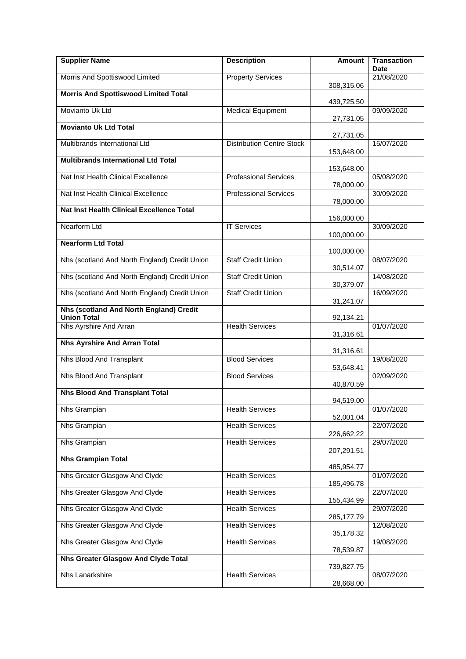| <b>Supplier Name</b>                                          | <b>Description</b>               | Amount     | <b>Transaction</b><br>Date |
|---------------------------------------------------------------|----------------------------------|------------|----------------------------|
| Morris And Spottiswood Limited                                | <b>Property Services</b>         |            | 21/08/2020                 |
| <b>Morris And Spottiswood Limited Total</b>                   |                                  | 308,315.06 |                            |
| Movianto Uk Ltd                                               | <b>Medical Equipment</b>         | 439,725.50 | 09/09/2020                 |
|                                                               |                                  | 27,731.05  |                            |
| <b>Movianto Uk Ltd Total</b>                                  |                                  | 27,731.05  |                            |
| Multibrands International Ltd                                 | <b>Distribution Centre Stock</b> | 153,648.00 | 15/07/2020                 |
| <b>Multibrands International Ltd Total</b>                    |                                  |            |                            |
| Nat Inst Health Clinical Excellence                           | <b>Professional Services</b>     | 153,648.00 | 05/08/2020                 |
| Nat Inst Health Clinical Excellence                           | <b>Professional Services</b>     | 78,000.00  | 30/09/2020                 |
|                                                               |                                  | 78,000.00  |                            |
| <b>Nat Inst Health Clinical Excellence Total</b>              |                                  | 156,000.00 |                            |
| <b>Nearform Ltd</b>                                           | <b>IT Services</b>               | 100,000.00 | 30/09/2020                 |
| <b>Nearform Ltd Total</b>                                     |                                  |            |                            |
| Nhs (scotland And North England) Credit Union                 | <b>Staff Credit Union</b>        | 100,000.00 | 08/07/2020                 |
| Nhs (scotland And North England) Credit Union                 | <b>Staff Credit Union</b>        | 30,514.07  | 14/08/2020                 |
| Nhs (scotland And North England) Credit Union                 | <b>Staff Credit Union</b>        | 30,379.07  | 16/09/2020                 |
|                                                               |                                  | 31,241.07  |                            |
| Nhs (scotland And North England) Credit<br><b>Union Total</b> |                                  | 92,134.21  |                            |
| Nhs Ayrshire And Arran                                        | <b>Health Services</b>           | 31,316.61  | 01/07/2020                 |
| <b>Nhs Ayrshire And Arran Total</b>                           |                                  |            |                            |
| Nhs Blood And Transplant                                      | <b>Blood Services</b>            | 31,316.61  | 19/08/2020                 |
| Nhs Blood And Transplant                                      | <b>Blood Services</b>            | 53,648.41  | 02/09/2020                 |
|                                                               |                                  | 40,870.59  |                            |
| <b>Nhs Blood And Transplant Total</b>                         |                                  | 94,519.00  |                            |
| Nhs Grampian                                                  | <b>Health Services</b>           | 52,001.04  | 01/07/2020                 |
| Nhs Grampian                                                  | <b>Health Services</b>           |            | 22/07/2020                 |
| Nhs Grampian                                                  | <b>Health Services</b>           | 226,662.22 | 29/07/2020                 |
| <b>Nhs Grampian Total</b>                                     |                                  | 207,291.51 |                            |
| Nhs Greater Glasgow And Clyde                                 | <b>Health Services</b>           | 485,954.77 |                            |
|                                                               |                                  | 185,496.78 | 01/07/2020                 |
| Nhs Greater Glasgow And Clyde                                 | <b>Health Services</b>           | 155,434.99 | 22/07/2020                 |
| Nhs Greater Glasgow And Clyde                                 | <b>Health Services</b>           | 285,177.79 | 29/07/2020                 |
| Nhs Greater Glasgow And Clyde                                 | <b>Health Services</b>           |            | 12/08/2020                 |
| Nhs Greater Glasgow And Clyde                                 | <b>Health Services</b>           | 35,178.32  | 19/08/2020                 |
| Nhs Greater Glasgow And Clyde Total                           |                                  | 78,539.87  |                            |
|                                                               |                                  | 739,827.75 |                            |
| Nhs Lanarkshire                                               | <b>Health Services</b>           | 28,668.00  | 08/07/2020                 |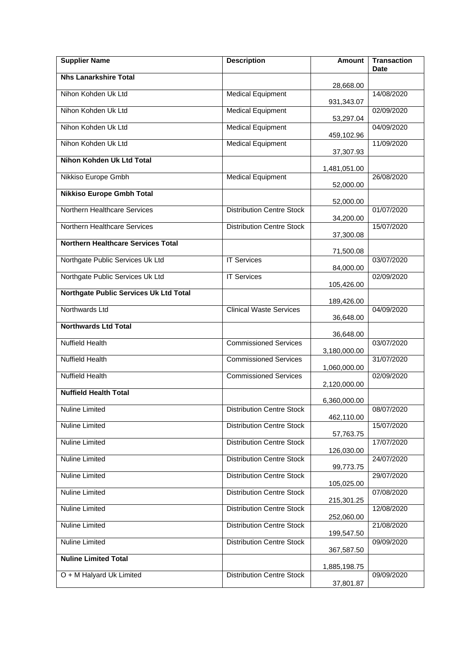| <b>Supplier Name</b>                      | <b>Description</b>               | Amount                  | <b>Transaction</b><br><b>Date</b> |
|-------------------------------------------|----------------------------------|-------------------------|-----------------------------------|
| <b>Nhs Lanarkshire Total</b>              |                                  | 28,668.00               |                                   |
| Nihon Kohden Uk Ltd                       | <b>Medical Equipment</b>         |                         | 14/08/2020                        |
| Nihon Kohden Uk Ltd                       | <b>Medical Equipment</b>         | 931,343.07              | 02/09/2020                        |
| Nihon Kohden Uk Ltd                       | <b>Medical Equipment</b>         | 53,297.04               | 04/09/2020                        |
| Nihon Kohden Uk Ltd                       | <b>Medical Equipment</b>         | 459,102.96              | 11/09/2020                        |
| <b>Nihon Kohden Uk Ltd Total</b>          |                                  | 37,307.93               |                                   |
| Nikkiso Europe Gmbh                       | <b>Medical Equipment</b>         | 1,481,051.00            | 26/08/2020                        |
| <b>Nikkiso Europe Gmbh Total</b>          |                                  | 52,000.00               |                                   |
| Northern Healthcare Services              | <b>Distribution Centre Stock</b> | 52,000.00               | 01/07/2020                        |
| Northern Healthcare Services              | <b>Distribution Centre Stock</b> | 34,200.00               | 15/07/2020                        |
| <b>Northern Healthcare Services Total</b> |                                  | 37,300.08               |                                   |
| Northgate Public Services Uk Ltd          | <b>IT Services</b>               | 71,500.08               | 03/07/2020                        |
| Northgate Public Services Uk Ltd          | <b>IT Services</b>               | 84,000.00               | 02/09/2020                        |
| Northgate Public Services Uk Ltd Total    |                                  | 105,426.00              |                                   |
| Northwards Ltd                            | <b>Clinical Waste Services</b>   | 189,426.00              | 04/09/2020                        |
|                                           |                                  | 36,648.00               |                                   |
| <b>Northwards Ltd Total</b>               |                                  | 36,648.00               |                                   |
| <b>Nuffield Health</b>                    | <b>Commissioned Services</b>     | 3,180,000.00            | 03/07/2020                        |
| <b>Nuffield Health</b>                    | <b>Commissioned Services</b>     | 1,060,000.00            | 31/07/2020                        |
| <b>Nuffield Health</b>                    | <b>Commissioned Services</b>     | 2,120,000.00            | 02/09/2020                        |
| <b>Nuffield Health Total</b>              |                                  | 6,360,000.00            |                                   |
| <b>Nuline Limited</b>                     | <b>Distribution Centre Stock</b> | 462,110.00              | 08/07/2020                        |
| Nuline Limited                            | <b>Distribution Centre Stock</b> |                         | 15/07/2020                        |
| Nuline Limited                            | <b>Distribution Centre Stock</b> | 57,763.75<br>126,030.00 | 17/07/2020                        |
| Nuline Limited                            | <b>Distribution Centre Stock</b> |                         | 24/07/2020                        |
| Nuline Limited                            | <b>Distribution Centre Stock</b> | 99,773.75               | 29/07/2020                        |
| <b>Nuline Limited</b>                     | <b>Distribution Centre Stock</b> | 105,025.00              | 07/08/2020                        |
| Nuline Limited                            | <b>Distribution Centre Stock</b> | 215,301.25              | 12/08/2020                        |
| Nuline Limited                            | <b>Distribution Centre Stock</b> | 252,060.00              | 21/08/2020                        |
| Nuline Limited                            | <b>Distribution Centre Stock</b> | 199,547.50              | 09/09/2020                        |
| <b>Nuline Limited Total</b>               |                                  | 367,587.50              |                                   |
| O + M Halyard Uk Limited                  | <b>Distribution Centre Stock</b> | 1,885,198.75            | 09/09/2020                        |
|                                           |                                  | 37,801.87               |                                   |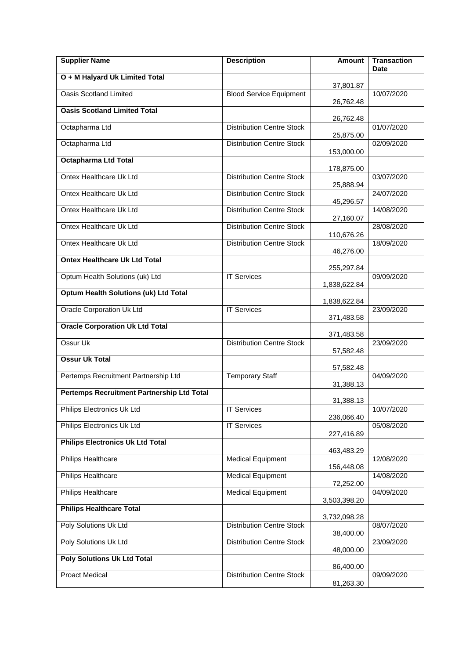| <b>Supplier Name</b>                              | <b>Description</b>               | <b>Amount</b>          | <b>Transaction</b><br>Date |
|---------------------------------------------------|----------------------------------|------------------------|----------------------------|
| O + M Halyard Uk Limited Total                    |                                  | 37,801.87              |                            |
| <b>Oasis Scotland Limited</b>                     | <b>Blood Service Equipment</b>   | 26,762.48              | 10/07/2020                 |
| <b>Oasis Scotland Limited Total</b>               |                                  | 26,762.48              |                            |
| Octapharma Ltd                                    | <b>Distribution Centre Stock</b> | 25,875.00              | 01/07/2020                 |
| Octapharma Ltd                                    | <b>Distribution Centre Stock</b> | 153,000.00             | 02/09/2020                 |
| <b>Octapharma Ltd Total</b>                       |                                  | 178,875.00             |                            |
| Ontex Healthcare Uk Ltd                           | <b>Distribution Centre Stock</b> | 25,888.94              | 03/07/2020                 |
| Ontex Healthcare Uk Ltd                           | <b>Distribution Centre Stock</b> | 45,296.57              | 24/07/2020                 |
| Ontex Healthcare Uk Ltd                           | <b>Distribution Centre Stock</b> | 27,160.07              | 14/08/2020                 |
| Ontex Healthcare Uk Ltd                           | <b>Distribution Centre Stock</b> | 110,676.26             | 28/08/2020                 |
| Ontex Healthcare Uk Ltd                           | <b>Distribution Centre Stock</b> | 46,276.00              | 18/09/2020                 |
| <b>Ontex Healthcare Uk Ltd Total</b>              |                                  | 255,297.84             |                            |
| Optum Health Solutions (uk) Ltd                   | <b>IT Services</b>               | 1,838,622.84           | 09/09/2020                 |
| <b>Optum Health Solutions (uk) Ltd Total</b>      |                                  | 1,838,622.84           |                            |
| <b>Oracle Corporation Uk Ltd</b>                  | <b>IT Services</b>               | 371,483.58             | 23/09/2020                 |
| <b>Oracle Corporation Uk Ltd Total</b>            |                                  | 371,483.58             |                            |
| Ossur Uk                                          | <b>Distribution Centre Stock</b> | 57,582.48              | 23/09/2020                 |
| <b>Ossur Uk Total</b>                             |                                  | 57,582.48              |                            |
| Pertemps Recruitment Partnership Ltd              | <b>Temporary Staff</b>           | 31,388.13              | 04/09/2020                 |
| <b>Pertemps Recruitment Partnership Ltd Total</b> |                                  | 31,388.13              |                            |
| Philips Electronics Uk Ltd                        | <b>IT Services</b>               | 236,066.40             | 10/07/2020                 |
| Philips Electronics Uk Ltd                        | <b>IT Services</b>               | 227,416.89             | 05/08/2020                 |
| <b>Philips Electronics Uk Ltd Total</b>           |                                  | 463,483.29             |                            |
| Philips Healthcare                                | <b>Medical Equipment</b>         | 156,448.08             | 12/08/2020                 |
| <b>Philips Healthcare</b>                         | <b>Medical Equipment</b>         | 72,252.00              | 14/08/2020                 |
| Philips Healthcare                                | <b>Medical Equipment</b>         | 3,503,398.20           | 04/09/2020                 |
| <b>Philips Healthcare Total</b>                   |                                  | 3,732,098.28           |                            |
| Poly Solutions Uk Ltd                             | <b>Distribution Centre Stock</b> | 38,400.00              | 08/07/2020                 |
| Poly Solutions Uk Ltd                             | <b>Distribution Centre Stock</b> | 48,000.00              | 23/09/2020                 |
| <b>Poly Solutions Uk Ltd Total</b>                |                                  |                        |                            |
| <b>Proact Medical</b>                             | <b>Distribution Centre Stock</b> | 86,400.00<br>81,263.30 | 09/09/2020                 |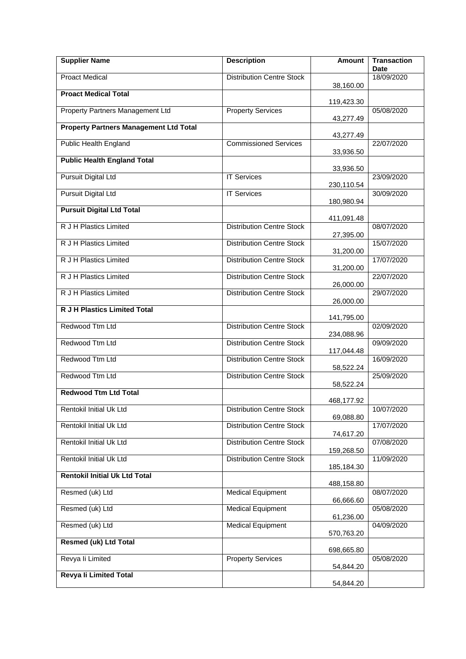| <b>Supplier Name</b>                          | <b>Description</b>               | <b>Amount</b> | <b>Transaction</b><br>Date |
|-----------------------------------------------|----------------------------------|---------------|----------------------------|
| <b>Proact Medical</b>                         | <b>Distribution Centre Stock</b> |               | 18/09/2020                 |
| <b>Proact Medical Total</b>                   |                                  | 38,160.00     |                            |
| Property Partners Management Ltd              | <b>Property Services</b>         | 119,423.30    | 05/08/2020                 |
|                                               |                                  | 43,277.49     |                            |
| <b>Property Partners Management Ltd Total</b> |                                  | 43,277.49     |                            |
| <b>Public Health England</b>                  | <b>Commissioned Services</b>     | 33,936.50     | 22/07/2020                 |
| <b>Public Health England Total</b>            |                                  |               |                            |
| <b>Pursuit Digital Ltd</b>                    | <b>IT Services</b>               | 33,936.50     | 23/09/2020                 |
| <b>Pursuit Digital Ltd</b>                    | <b>IT Services</b>               | 230,110.54    | 30/09/2020                 |
| <b>Pursuit Digital Ltd Total</b>              |                                  | 180,980.94    |                            |
|                                               |                                  | 411,091.48    |                            |
| <b>R J H Plastics Limited</b>                 | <b>Distribution Centre Stock</b> | 27,395.00     | 08/07/2020                 |
| R J H Plastics Limited                        | <b>Distribution Centre Stock</b> | 31,200.00     | 15/07/2020                 |
| R J H Plastics Limited                        | <b>Distribution Centre Stock</b> |               | 17/07/2020                 |
| R J H Plastics Limited                        | <b>Distribution Centre Stock</b> | 31,200.00     | 22/07/2020                 |
| R J H Plastics Limited                        | <b>Distribution Centre Stock</b> | 26,000.00     | 29/07/2020                 |
| <b>R J H Plastics Limited Total</b>           |                                  | 26,000.00     |                            |
|                                               |                                  | 141,795.00    |                            |
| Redwood Ttm Ltd                               | <b>Distribution Centre Stock</b> | 234,088.96    | 02/09/2020                 |
| Redwood Ttm Ltd                               | <b>Distribution Centre Stock</b> |               | 09/09/2020                 |
| Redwood Ttm Ltd                               | <b>Distribution Centre Stock</b> | 117,044.48    | 16/09/2020                 |
| Redwood Ttm Ltd                               | <b>Distribution Centre Stock</b> | 58,522.24     | 25/09/2020                 |
| <b>Redwood Ttm Ltd Total</b>                  |                                  | 58,522.24     |                            |
|                                               |                                  | 468,177.92    |                            |
| <b>Rentokil Initial Uk Ltd</b>                | <b>Distribution Centre Stock</b> | 69,088.80     | 10/07/2020                 |
| Rentokil Initial Uk Ltd                       | <b>Distribution Centre Stock</b> | 74,617.20     | 17/07/2020                 |
| Rentokil Initial Uk Ltd                       | <b>Distribution Centre Stock</b> |               | 07/08/2020                 |
| <b>Rentokil Initial Uk Ltd</b>                | <b>Distribution Centre Stock</b> | 159,268.50    | 11/09/2020                 |
| <b>Rentokil Initial Uk Ltd Total</b>          |                                  | 185,184.30    |                            |
|                                               |                                  | 488,158.80    |                            |
| Resmed (uk) Ltd                               | <b>Medical Equipment</b>         | 66,666.60     | 08/07/2020                 |
| Resmed (uk) Ltd                               | <b>Medical Equipment</b>         | 61,236.00     | 05/08/2020                 |
| Resmed (uk) Ltd                               | <b>Medical Equipment</b>         |               | 04/09/2020                 |
| <b>Resmed (uk) Ltd Total</b>                  |                                  | 570,763.20    |                            |
| Revya li Limited                              | <b>Property Services</b>         | 698,665.80    | 05/08/2020                 |
| Revya li Limited Total                        |                                  | 54,844.20     |                            |
|                                               |                                  | 54,844.20     |                            |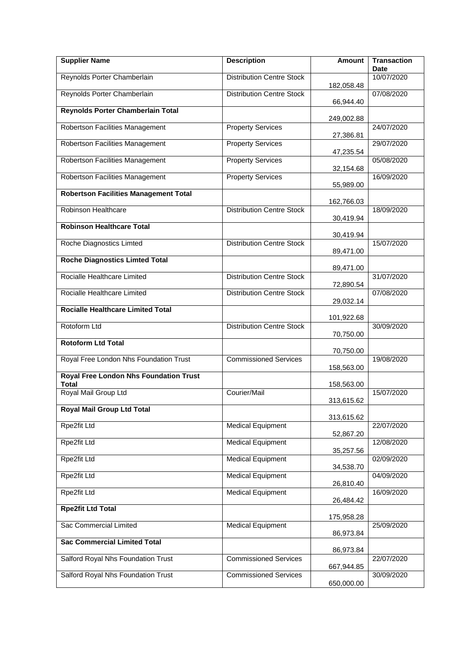| <b>Supplier Name</b>                                          | <b>Description</b>               | <b>Amount</b>           | <b>Transaction</b><br><b>Date</b> |
|---------------------------------------------------------------|----------------------------------|-------------------------|-----------------------------------|
| Reynolds Porter Chamberlain                                   | <b>Distribution Centre Stock</b> |                         | 10/07/2020                        |
| Reynolds Porter Chamberlain                                   | <b>Distribution Centre Stock</b> | 182,058.48<br>66,944.40 | 07/08/2020                        |
| Reynolds Porter Chamberlain Total                             |                                  | 249,002.88              |                                   |
| Robertson Facilities Management                               | <b>Property Services</b>         | 27,386.81               | 24/07/2020                        |
| <b>Robertson Facilities Management</b>                        | <b>Property Services</b>         | 47,235.54               | 29/07/2020                        |
| Robertson Facilities Management                               | <b>Property Services</b>         | 32,154.68               | 05/08/2020                        |
| Robertson Facilities Management                               | <b>Property Services</b>         | 55,989.00               | 16/09/2020                        |
| <b>Robertson Facilities Management Total</b>                  |                                  | 162,766.03              |                                   |
| Robinson Healthcare                                           | <b>Distribution Centre Stock</b> | 30,419.94               | 18/09/2020                        |
| <b>Robinson Healthcare Total</b>                              |                                  | 30,419.94               |                                   |
| Roche Diagnostics Limted                                      | <b>Distribution Centre Stock</b> | 89,471.00               | 15/07/2020                        |
| <b>Roche Diagnostics Limted Total</b>                         |                                  | 89,471.00               |                                   |
| Rocialle Healthcare Limited                                   | <b>Distribution Centre Stock</b> | 72,890.54               | 31/07/2020                        |
| Rocialle Healthcare Limited                                   | <b>Distribution Centre Stock</b> | 29,032.14               | 07/08/2020                        |
| <b>Rocialle Healthcare Limited Total</b>                      |                                  | 101,922.68              |                                   |
| Rotoform Ltd                                                  | <b>Distribution Centre Stock</b> | 70,750.00               | 30/09/2020                        |
| <b>Rotoform Ltd Total</b>                                     |                                  | 70,750.00               |                                   |
| Royal Free London Nhs Foundation Trust                        | <b>Commissioned Services</b>     | 158,563.00              | 19/08/2020                        |
| <b>Royal Free London Nhs Foundation Trust</b><br><b>Total</b> |                                  | 158,563.00              |                                   |
| Royal Mail Group Ltd                                          | Courier/Mail                     | 313,615.62              | 15/07/2020                        |
| <b>Royal Mail Group Ltd Total</b>                             |                                  | 313,615.62              |                                   |
| Rpe2fit Ltd                                                   | <b>Medical Equipment</b>         | 52,867.20               | 22/07/2020                        |
| Rpe2fit Ltd                                                   | <b>Medical Equipment</b>         | 35,257.56               | 12/08/2020                        |
| Rpe2fit Ltd                                                   | <b>Medical Equipment</b>         | 34,538.70               | 02/09/2020                        |
| Rpe2fit Ltd                                                   | <b>Medical Equipment</b>         | 26,810.40               | 04/09/2020                        |
| Rpe2fit Ltd                                                   | <b>Medical Equipment</b>         | 26,484.42               | 16/09/2020                        |
| <b>Rpe2fit Ltd Total</b>                                      |                                  | 175,958.28              |                                   |
| Sac Commercial Limited                                        | <b>Medical Equipment</b>         | 86,973.84               | 25/09/2020                        |
| <b>Sac Commercial Limited Total</b>                           |                                  | 86,973.84               |                                   |
| Salford Royal Nhs Foundation Trust                            | <b>Commissioned Services</b>     | 667,944.85              | 22/07/2020                        |
| Salford Royal Nhs Foundation Trust                            | <b>Commissioned Services</b>     | 650,000.00              | 30/09/2020                        |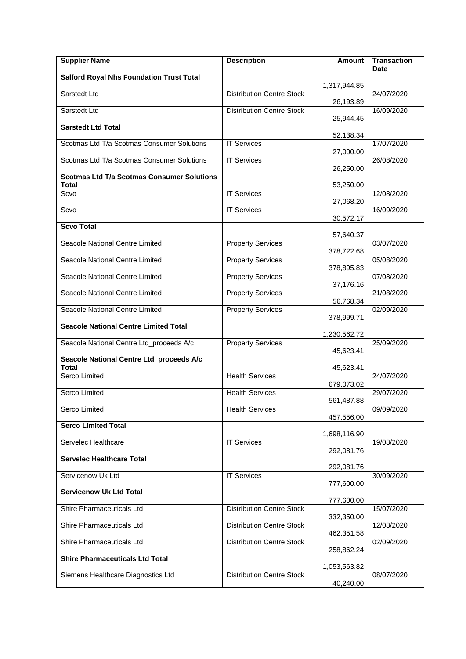| <b>Supplier Name</b>                                              | <b>Description</b>               | Amount       | <b>Transaction</b><br><b>Date</b> |
|-------------------------------------------------------------------|----------------------------------|--------------|-----------------------------------|
| <b>Salford Royal Nhs Foundation Trust Total</b>                   |                                  |              |                                   |
| Sarstedt Ltd                                                      | <b>Distribution Centre Stock</b> | 1,317,944.85 | 24/07/2020                        |
| Sarstedt Ltd                                                      | <b>Distribution Centre Stock</b> | 26,193.89    | 16/09/2020                        |
| <b>Sarstedt Ltd Total</b>                                         |                                  | 25,944.45    |                                   |
| Scotmas Ltd T/a Scotmas Consumer Solutions                        | <b>IT Services</b>               | 52,138.34    | 17/07/2020                        |
|                                                                   |                                  | 27,000.00    |                                   |
| Scotmas Ltd T/a Scotmas Consumer Solutions                        | <b>IT Services</b>               | 26,250.00    | 26/08/2020                        |
| <b>Scotmas Ltd T/a Scotmas Consumer Solutions</b><br><b>Total</b> |                                  | 53,250.00    |                                   |
| Scvo                                                              | <b>IT Services</b>               | 27,068.20    | 12/08/2020                        |
| Scvo                                                              | <b>IT Services</b>               | 30,572.17    | 16/09/2020                        |
| <b>Scvo Total</b>                                                 |                                  | 57,640.37    |                                   |
| Seacole National Centre Limited                                   | <b>Property Services</b>         |              | 03/07/2020                        |
| Seacole National Centre Limited                                   | <b>Property Services</b>         | 378,722.68   | 05/08/2020                        |
| Seacole National Centre Limited                                   | <b>Property Services</b>         | 378,895.83   | 07/08/2020                        |
| Seacole National Centre Limited                                   | <b>Property Services</b>         | 37,176.16    | 21/08/2020                        |
| Seacole National Centre Limited                                   | <b>Property Services</b>         | 56,768.34    | 02/09/2020                        |
|                                                                   |                                  | 378,999.71   |                                   |
| <b>Seacole National Centre Limited Total</b>                      |                                  | 1,230,562.72 |                                   |
| Seacole National Centre Ltd_proceeds A/c                          | <b>Property Services</b>         | 45,623.41    | 25/09/2020                        |
| Seacole National Centre Ltd_proceeds A/c<br><b>Total</b>          |                                  | 45,623.41    |                                   |
| Serco Limited                                                     | <b>Health Services</b>           |              | 24/07/2020                        |
| Serco Limited                                                     | <b>Health Services</b>           | 679,073.02   | 29/07/2020                        |
| Serco Limited                                                     | <b>Health Services</b>           | 561,487.88   | 09/09/2020                        |
| <b>Serco Limited Total</b>                                        |                                  | 457,556.00   |                                   |
| Servelec Healthcare                                               | <b>IT Services</b>               | 1,698,116.90 | 19/08/2020                        |
| <b>Servelec Healthcare Total</b>                                  |                                  | 292,081.76   |                                   |
|                                                                   |                                  | 292,081.76   |                                   |
| Servicenow Uk Ltd                                                 | <b>IT Services</b>               | 777,600.00   | 30/09/2020                        |
| <b>Servicenow Uk Ltd Total</b>                                    |                                  | 777,600.00   |                                   |
| Shire Pharmaceuticals Ltd                                         | <b>Distribution Centre Stock</b> | 332,350.00   | 15/07/2020                        |
| Shire Pharmaceuticals Ltd                                         | <b>Distribution Centre Stock</b> |              | 12/08/2020                        |
| Shire Pharmaceuticals Ltd                                         | <b>Distribution Centre Stock</b> | 462,351.58   | 02/09/2020                        |
| <b>Shire Pharmaceuticals Ltd Total</b>                            |                                  | 258,862.24   |                                   |
| Siemens Healthcare Diagnostics Ltd                                | <b>Distribution Centre Stock</b> | 1,053,563.82 | 08/07/2020                        |
|                                                                   |                                  | 40,240.00    |                                   |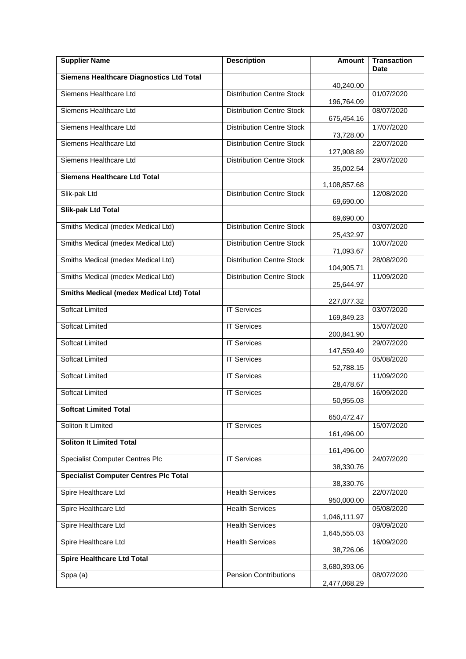| <b>Supplier Name</b>                            | <b>Description</b>               | <b>Amount</b> | <b>Transaction</b><br><b>Date</b> |
|-------------------------------------------------|----------------------------------|---------------|-----------------------------------|
| <b>Siemens Healthcare Diagnostics Ltd Total</b> |                                  | 40,240.00     |                                   |
| Siemens Healthcare Ltd                          | <b>Distribution Centre Stock</b> | 196,764.09    | 01/07/2020                        |
| Siemens Healthcare Ltd                          | <b>Distribution Centre Stock</b> | 675,454.16    | 08/07/2020                        |
| Siemens Healthcare Ltd                          | <b>Distribution Centre Stock</b> | 73,728.00     | 17/07/2020                        |
| Siemens Healthcare Ltd                          | <b>Distribution Centre Stock</b> | 127,908.89    | 22/07/2020                        |
| Siemens Healthcare Ltd                          | <b>Distribution Centre Stock</b> | 35,002.54     | 29/07/2020                        |
| <b>Siemens Healthcare Ltd Total</b>             |                                  | 1,108,857.68  |                                   |
| Slik-pak Ltd                                    | <b>Distribution Centre Stock</b> | 69,690.00     | 12/08/2020                        |
| <b>Slik-pak Ltd Total</b>                       |                                  | 69,690.00     |                                   |
| Smiths Medical (medex Medical Ltd)              | <b>Distribution Centre Stock</b> | 25,432.97     | 03/07/2020                        |
| Smiths Medical (medex Medical Ltd)              | <b>Distribution Centre Stock</b> | 71,093.67     | 10/07/2020                        |
| Smiths Medical (medex Medical Ltd)              | <b>Distribution Centre Stock</b> | 104,905.71    | 28/08/2020                        |
| Smiths Medical (medex Medical Ltd)              | <b>Distribution Centre Stock</b> | 25,644.97     | 11/09/2020                        |
| <b>Smiths Medical (medex Medical Ltd) Total</b> |                                  | 227,077.32    |                                   |
| <b>Softcat Limited</b>                          | <b>IT Services</b>               | 169,849.23    | 03/07/2020                        |
| <b>Softcat Limited</b>                          | <b>IT Services</b>               | 200,841.90    | 15/07/2020                        |
| <b>Softcat Limited</b>                          | <b>IT Services</b>               | 147,559.49    | 29/07/2020                        |
| <b>Softcat Limited</b>                          | <b>IT Services</b>               | 52,788.15     | 05/08/2020                        |
| <b>Softcat Limited</b>                          | <b>IT Services</b>               | 28,478.67     | 11/09/2020                        |
| <b>Softcat Limited</b>                          | <b>IT Services</b>               | 50,955.03     | 16/09/2020                        |
| <b>Softcat Limited Total</b>                    |                                  | 650,472.47    |                                   |
| Soliton It Limited                              | <b>IT Services</b>               | 161,496.00    | 15/07/2020                        |
| <b>Soliton It Limited Total</b>                 |                                  | 161,496.00    |                                   |
| <b>Specialist Computer Centres Plc</b>          | <b>IT Services</b>               | 38,330.76     | 24/07/2020                        |
| <b>Specialist Computer Centres Plc Total</b>    |                                  | 38,330.76     |                                   |
| Spire Healthcare Ltd                            | <b>Health Services</b>           | 950,000.00    | 22/07/2020                        |
| Spire Healthcare Ltd                            | <b>Health Services</b>           | 1,046,111.97  | 05/08/2020                        |
| Spire Healthcare Ltd                            | <b>Health Services</b>           | 1,645,555.03  | 09/09/2020                        |
| Spire Healthcare Ltd                            | <b>Health Services</b>           | 38,726.06     | 16/09/2020                        |
| <b>Spire Healthcare Ltd Total</b>               |                                  | 3,680,393.06  |                                   |
| Sppa (a)                                        | <b>Pension Contributions</b>     | 2,477,068.29  | 08/07/2020                        |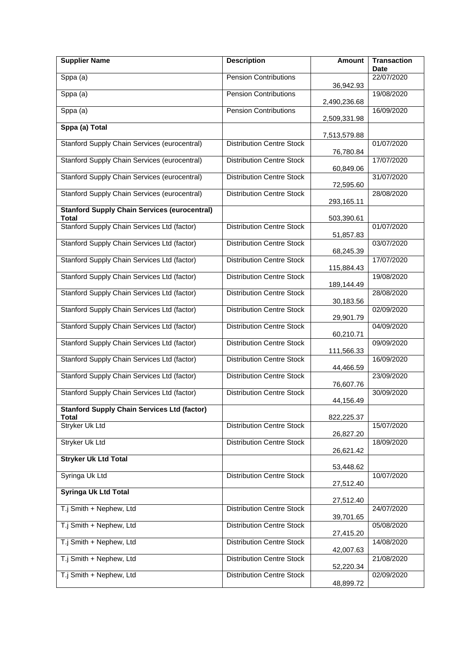| <b>Supplier Name</b>                                         | <b>Description</b>               | <b>Amount</b>           | <b>Transaction</b><br><b>Date</b> |
|--------------------------------------------------------------|----------------------------------|-------------------------|-----------------------------------|
| Sppa (a)                                                     | Pension Contributions            |                         | 22/07/2020                        |
| Sppa (a)                                                     | <b>Pension Contributions</b>     | 36,942.93               | 19/08/2020                        |
| Sppa (a)                                                     | <b>Pension Contributions</b>     | 2,490,236.68            | 16/09/2020                        |
|                                                              |                                  | 2,509,331.98            |                                   |
| Sppa (a) Total                                               |                                  | 7,513,579.88            |                                   |
| <b>Stanford Supply Chain Services (eurocentral)</b>          | <b>Distribution Centre Stock</b> | 76,780.84               | 01/07/2020                        |
| Stanford Supply Chain Services (eurocentral)                 | <b>Distribution Centre Stock</b> | 60,849.06               | 17/07/2020                        |
| Stanford Supply Chain Services (eurocentral)                 | <b>Distribution Centre Stock</b> | 72,595.60               | 31/07/2020                        |
| Stanford Supply Chain Services (eurocentral)                 | <b>Distribution Centre Stock</b> | 293,165.11              | 28/08/2020                        |
| <b>Stanford Supply Chain Services (eurocentral)</b><br>Total |                                  | 503,390.61              |                                   |
| Stanford Supply Chain Services Ltd (factor)                  | <b>Distribution Centre Stock</b> | 51,857.83               | 01/07/2020                        |
| Stanford Supply Chain Services Ltd (factor)                  | <b>Distribution Centre Stock</b> | 68,245.39               | 03/07/2020                        |
| Stanford Supply Chain Services Ltd (factor)                  | <b>Distribution Centre Stock</b> | 115,884.43              | 17/07/2020                        |
| Stanford Supply Chain Services Ltd (factor)                  | <b>Distribution Centre Stock</b> |                         | 19/08/2020                        |
| Stanford Supply Chain Services Ltd (factor)                  | <b>Distribution Centre Stock</b> | 189,144.49<br>30,183.56 | 28/08/2020                        |
| Stanford Supply Chain Services Ltd (factor)                  | <b>Distribution Centre Stock</b> | 29,901.79               | 02/09/2020                        |
| Stanford Supply Chain Services Ltd (factor)                  | <b>Distribution Centre Stock</b> | 60,210.71               | 04/09/2020                        |
| Stanford Supply Chain Services Ltd (factor)                  | <b>Distribution Centre Stock</b> | 111,566.33              | 09/09/2020                        |
| Stanford Supply Chain Services Ltd (factor)                  | <b>Distribution Centre Stock</b> | 44,466.59               | 16/09/2020                        |
| Stanford Supply Chain Services Ltd (factor)                  | <b>Distribution Centre Stock</b> | 76,607.76               | 23/09/2020                        |
| Stanford Supply Chain Services Ltd (factor)                  | <b>Distribution Centre Stock</b> | 44,156.49               | 30/09/2020                        |
| <b>Stanford Supply Chain Services Ltd (factor)</b>           |                                  |                         |                                   |
| <b>Total</b><br><b>Stryker Uk Ltd</b>                        | <b>Distribution Centre Stock</b> | 822,225.37              | 15/07/2020                        |
| <b>Stryker Uk Ltd</b>                                        | <b>Distribution Centre Stock</b> | 26,827.20               | 18/09/2020                        |
|                                                              |                                  | 26,621.42               |                                   |
| <b>Stryker Uk Ltd Total</b>                                  |                                  | 53,448.62               |                                   |
| Syringa Uk Ltd                                               | <b>Distribution Centre Stock</b> | 27,512.40               | 10/07/2020                        |
| <b>Syringa Uk Ltd Total</b>                                  |                                  | 27,512.40               |                                   |
| T.j Smith + Nephew, Ltd                                      | <b>Distribution Centre Stock</b> | 39,701.65               | 24/07/2020                        |
| T.j Smith + Nephew, Ltd                                      | <b>Distribution Centre Stock</b> | 27,415.20               | 05/08/2020                        |
| T.j Smith + Nephew, Ltd                                      | <b>Distribution Centre Stock</b> | 42,007.63               | 14/08/2020                        |
| T.j Smith + Nephew, Ltd                                      | <b>Distribution Centre Stock</b> | 52,220.34               | 21/08/2020                        |
| T.j Smith + Nephew, Ltd                                      | <b>Distribution Centre Stock</b> | 48,899.72               | 02/09/2020                        |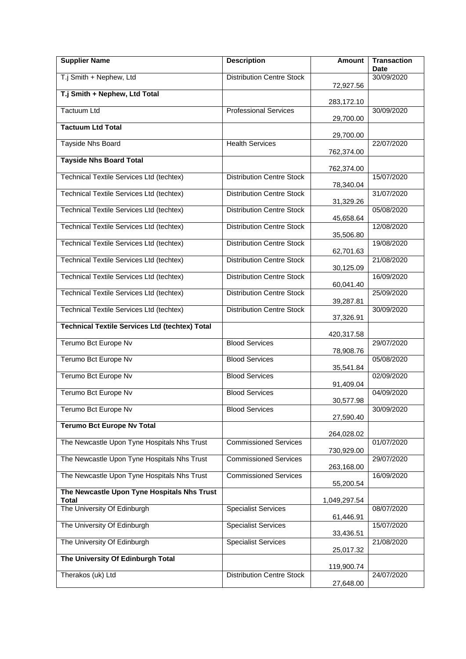| <b>Supplier Name</b>                                  | <b>Description</b>               | <b>Amount</b> | <b>Transaction</b><br><b>Date</b> |
|-------------------------------------------------------|----------------------------------|---------------|-----------------------------------|
| T.j Smith + Nephew, Ltd                               | <b>Distribution Centre Stock</b> | 72,927.56     | 30/09/2020                        |
| T.j Smith + Nephew, Ltd Total                         |                                  | 283,172.10    |                                   |
| <b>Tactuum Ltd</b>                                    | <b>Professional Services</b>     | 29,700.00     | 30/09/2020                        |
| <b>Tactuum Ltd Total</b>                              |                                  |               |                                   |
| <b>Tayside Nhs Board</b>                              | <b>Health Services</b>           | 29,700.00     | 22/07/2020                        |
| <b>Tayside Nhs Board Total</b>                        |                                  | 762,374.00    |                                   |
| <b>Technical Textile Services Ltd (techtex)</b>       | <b>Distribution Centre Stock</b> | 762,374.00    | 15/07/2020                        |
| <b>Technical Textile Services Ltd (techtex)</b>       | <b>Distribution Centre Stock</b> | 78,340.04     | 31/07/2020                        |
| Technical Textile Services Ltd (techtex)              | <b>Distribution Centre Stock</b> | 31,329.26     | 05/08/2020                        |
| Technical Textile Services Ltd (techtex)              | <b>Distribution Centre Stock</b> | 45,658.64     | 12/08/2020                        |
| Technical Textile Services Ltd (techtex)              | <b>Distribution Centre Stock</b> | 35,506.80     | 19/08/2020                        |
| Technical Textile Services Ltd (techtex)              | <b>Distribution Centre Stock</b> | 62,701.63     | 21/08/2020                        |
|                                                       | <b>Distribution Centre Stock</b> | 30,125.09     | 16/09/2020                        |
| Technical Textile Services Ltd (techtex)              |                                  | 60,041.40     |                                   |
| Technical Textile Services Ltd (techtex)              | <b>Distribution Centre Stock</b> | 39,287.81     | 25/09/2020                        |
| Technical Textile Services Ltd (techtex)              | <b>Distribution Centre Stock</b> | 37,326.91     | 30/09/2020                        |
| <b>Technical Textile Services Ltd (techtex) Total</b> |                                  | 420,317.58    |                                   |
| Terumo Bct Europe Nv                                  | <b>Blood Services</b>            | 78,908.76     | 29/07/2020                        |
| Terumo Bct Europe Nv                                  | <b>Blood Services</b>            | 35,541.84     | 05/08/2020                        |
| Terumo Bct Europe Nv                                  | <b>Blood Services</b>            | 91,409.04     | 02/09/2020                        |
| Terumo Bct Europe Nv                                  | <b>Blood Services</b>            | 30,577.98     | 04/09/2020                        |
| Terumo Bct Europe Nv                                  | <b>Blood Services</b>            | 27,590.40     | 30/09/2020                        |
| <b>Terumo Bct Europe Nv Total</b>                     |                                  |               |                                   |
| The Newcastle Upon Tyne Hospitals Nhs Trust           | <b>Commissioned Services</b>     | 264,028.02    | 01/07/2020                        |
| The Newcastle Upon Tyne Hospitals Nhs Trust           | <b>Commissioned Services</b>     | 730,929.00    | 29/07/2020                        |
| The Newcastle Upon Tyne Hospitals Nhs Trust           | <b>Commissioned Services</b>     | 263,168.00    | 16/09/2020                        |
| The Newcastle Upon Tyne Hospitals Nhs Trust           |                                  | 55,200.54     |                                   |
| Total<br>The University Of Edinburgh                  | <b>Specialist Services</b>       | 1,049,297.54  | 08/07/2020                        |
| The University Of Edinburgh                           | <b>Specialist Services</b>       | 61,446.91     | 15/07/2020                        |
| The University Of Edinburgh                           | <b>Specialist Services</b>       | 33,436.51     | 21/08/2020                        |
| The University Of Edinburgh Total                     |                                  | 25,017.32     |                                   |
|                                                       |                                  | 119,900.74    |                                   |
| Therakos (uk) Ltd                                     | <b>Distribution Centre Stock</b> | 27,648.00     | 24/07/2020                        |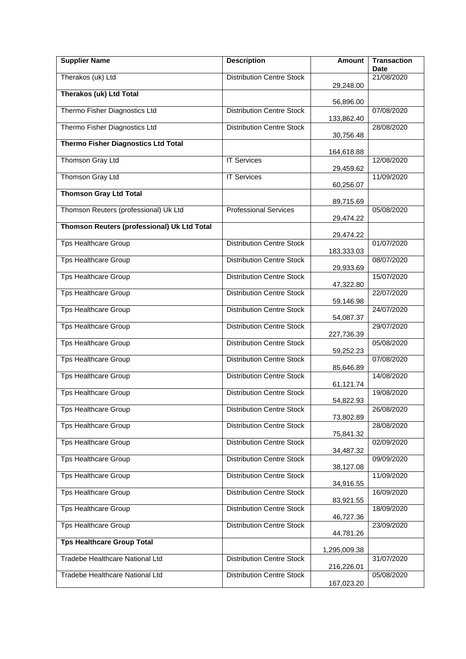| <b>Supplier Name</b>                        | <b>Description</b>               | <b>Amount</b>           | <b>Transaction</b><br><b>Date</b> |
|---------------------------------------------|----------------------------------|-------------------------|-----------------------------------|
| Therakos (uk) Ltd                           | <b>Distribution Centre Stock</b> | 29,248.00               | 21/08/2020                        |
| <b>Therakos (uk) Ltd Total</b>              |                                  | 56,896.00               |                                   |
| Thermo Fisher Diagnostics Ltd               | <b>Distribution Centre Stock</b> |                         | 07/08/2020                        |
| Thermo Fisher Diagnostics Ltd               | <b>Distribution Centre Stock</b> | 133,862.40<br>30,756.48 | 28/08/2020                        |
| <b>Thermo Fisher Diagnostics Ltd Total</b>  |                                  | 164,618.88              |                                   |
| Thomson Gray Ltd                            | <b>IT Services</b>               |                         | 12/08/2020                        |
| <b>Thomson Gray Ltd</b>                     | <b>IT Services</b>               | 29,459.62               | 11/09/2020                        |
| <b>Thomson Gray Ltd Total</b>               |                                  | 60,256.07               |                                   |
| Thomson Reuters (professional) Uk Ltd       | <b>Professional Services</b>     | 89,715.69               | 05/08/2020                        |
| Thomson Reuters (professional) Uk Ltd Total |                                  | 29,474.22               |                                   |
| <b>Tps Healthcare Group</b>                 | <b>Distribution Centre Stock</b> | 29,474.22               | 01/07/2020                        |
|                                             |                                  | 183,333.03              |                                   |
| <b>Tps Healthcare Group</b>                 | <b>Distribution Centre Stock</b> | 29,933.69               | 08/07/2020                        |
| <b>Tps Healthcare Group</b>                 | <b>Distribution Centre Stock</b> | 47,322.80               | 15/07/2020                        |
| <b>Tps Healthcare Group</b>                 | <b>Distribution Centre Stock</b> | 59,146.98               | 22/07/2020                        |
| <b>Tps Healthcare Group</b>                 | <b>Distribution Centre Stock</b> | 54,087.37               | 24/07/2020                        |
| <b>Tps Healthcare Group</b>                 | <b>Distribution Centre Stock</b> | 227,736.39              | 29/07/2020                        |
| <b>Tps Healthcare Group</b>                 | <b>Distribution Centre Stock</b> | 59,252.23               | 05/08/2020                        |
| <b>Tps Healthcare Group</b>                 | <b>Distribution Centre Stock</b> | 85,646.89               | 07/08/2020                        |
| <b>Tps Healthcare Group</b>                 | Distribution Centre Stock        | 61,121.74               | 14/08/2020                        |
| <b>Tps Healthcare Group</b>                 | <b>Distribution Centre Stock</b> | 54,822.93               | 19/08/2020                        |
| <b>Tps Healthcare Group</b>                 | <b>Distribution Centre Stock</b> | 73,802.89               | 26/08/2020                        |
| <b>Tps Healthcare Group</b>                 | <b>Distribution Centre Stock</b> | 75,841.32               | 28/08/2020                        |
| <b>Tps Healthcare Group</b>                 | <b>Distribution Centre Stock</b> | 34,487.32               | 02/09/2020                        |
| <b>Tps Healthcare Group</b>                 | <b>Distribution Centre Stock</b> | 38,127.08               | 09/09/2020                        |
| <b>Tps Healthcare Group</b>                 | <b>Distribution Centre Stock</b> | 34,916.55               | 11/09/2020                        |
| Tps Healthcare Group                        | <b>Distribution Centre Stock</b> | 83,921.55               | 16/09/2020                        |
| <b>Tps Healthcare Group</b>                 | <b>Distribution Centre Stock</b> | 46,727.36               | 18/09/2020                        |
| <b>Tps Healthcare Group</b>                 | <b>Distribution Centre Stock</b> | 44,781.26               | 23/09/2020                        |
| <b>Tps Healthcare Group Total</b>           |                                  |                         |                                   |
| Tradebe Healthcare National Ltd             | <b>Distribution Centre Stock</b> | 1,295,009.38            | 31/07/2020                        |
|                                             |                                  | 216,226.01              |                                   |
| Tradebe Healthcare National Ltd             | <b>Distribution Centre Stock</b> | 167,023.20              | 05/08/2020                        |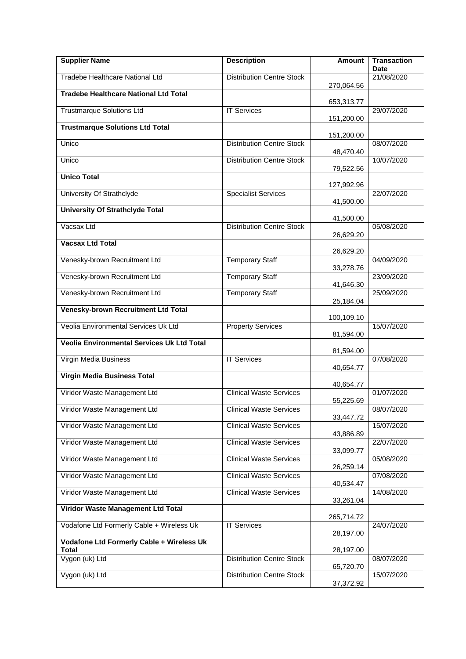| <b>Supplier Name</b>                         | <b>Description</b>               | <b>Amount</b> | <b>Transaction</b><br><b>Date</b> |
|----------------------------------------------|----------------------------------|---------------|-----------------------------------|
| Tradebe Healthcare National Ltd              | <b>Distribution Centre Stock</b> | 270,064.56    | 21/08/2020                        |
| <b>Tradebe Healthcare National Ltd Total</b> |                                  |               |                                   |
| <b>Trustmarque Solutions Ltd</b>             | <b>IT Services</b>               | 653,313.77    | 29/07/2020                        |
| <b>Trustmarque Solutions Ltd Total</b>       |                                  | 151,200.00    |                                   |
| Unico                                        | <b>Distribution Centre Stock</b> | 151,200.00    | 08/07/2020                        |
| Unico                                        | <b>Distribution Centre Stock</b> | 48,470.40     | 10/07/2020                        |
| <b>Unico Total</b>                           |                                  | 79,522.56     |                                   |
|                                              |                                  | 127,992.96    |                                   |
| University Of Strathclyde                    | <b>Specialist Services</b>       | 41,500.00     | 22/07/2020                        |
| <b>University Of Strathclyde Total</b>       |                                  | 41,500.00     |                                   |
| Vacsax Ltd                                   | <b>Distribution Centre Stock</b> | 26,629.20     | 05/08/2020                        |
| <b>Vacsax Ltd Total</b>                      |                                  |               |                                   |
| Venesky-brown Recruitment Ltd                | <b>Temporary Staff</b>           | 26,629.20     | 04/09/2020                        |
| Venesky-brown Recruitment Ltd                | <b>Temporary Staff</b>           | 33,278.76     | 23/09/2020                        |
| Venesky-brown Recruitment Ltd                | <b>Temporary Staff</b>           | 41,646.30     | 25/09/2020                        |
| Venesky-brown Recruitment Ltd Total          |                                  | 25,184.04     |                                   |
|                                              |                                  | 100,109.10    |                                   |
| Veolia Environmental Services Uk Ltd         | <b>Property Services</b>         | 81,594.00     | 15/07/2020                        |
| Veolia Environmental Services Uk Ltd Total   |                                  | 81,594.00     |                                   |
| Virgin Media Business                        | <b>IT Services</b>               | 40,654.77     | 07/08/2020                        |
| Virgin Media Business Total                  |                                  | 40,654.77     |                                   |
| Viridor Waste Management Ltd                 | <b>Clinical Waste Services</b>   |               | 01/07/2020                        |
| Viridor Waste Management Ltd                 | <b>Clinical Waste Services</b>   | 55,225.69     | 08/07/2020                        |
| Viridor Waste Management Ltd                 | <b>Clinical Waste Services</b>   | 33,447.72     | 15/07/2020                        |
| Viridor Waste Management Ltd                 | <b>Clinical Waste Services</b>   | 43,886.89     | 22/07/2020                        |
| Viridor Waste Management Ltd                 | <b>Clinical Waste Services</b>   | 33,099.77     | 05/08/2020                        |
|                                              |                                  | 26,259.14     |                                   |
| Viridor Waste Management Ltd                 | <b>Clinical Waste Services</b>   | 40,534.47     | 07/08/2020                        |
| Viridor Waste Management Ltd                 | <b>Clinical Waste Services</b>   | 33,261.04     | 14/08/2020                        |
| Viridor Waste Management Ltd Total           |                                  | 265,714.72    |                                   |
| Vodafone Ltd Formerly Cable + Wireless Uk    | <b>IT Services</b>               |               | 24/07/2020                        |
| Vodafone Ltd Formerly Cable + Wireless Uk    |                                  | 28,197.00     |                                   |
| Total<br>Vygon (uk) Ltd                      | <b>Distribution Centre Stock</b> | 28,197.00     | 08/07/2020                        |
| Vygon (uk) Ltd                               | <b>Distribution Centre Stock</b> | 65,720.70     | 15/07/2020                        |
|                                              |                                  | 37,372.92     |                                   |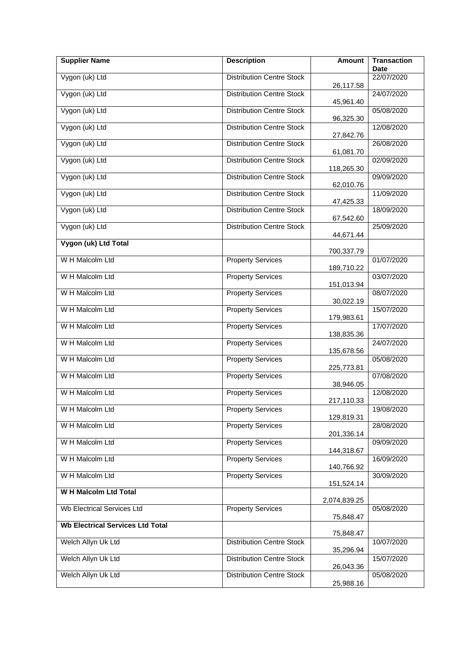| Vygon (uk) Ltd<br><b>Distribution Centre Stock</b><br>22/07/2020<br>26,117.58<br>Vygon (uk) Ltd<br><b>Distribution Centre Stock</b><br>24/07/2020<br>45,961.40<br>Vygon (uk) Ltd<br><b>Distribution Centre Stock</b><br>05/08/2020<br>96,325.30<br>Vygon (uk) Ltd<br><b>Distribution Centre Stock</b><br>12/08/2020<br>27,842.76<br>Vygon (uk) Ltd<br><b>Distribution Centre Stock</b><br>26/08/2020<br>61,081.70<br>Vygon (uk) Ltd<br><b>Distribution Centre Stock</b><br>02/09/2020<br>118,265.30<br>Vygon (uk) Ltd<br><b>Distribution Centre Stock</b><br>09/09/2020<br>62,010.76<br>Vygon (uk) Ltd<br><b>Distribution Centre Stock</b><br>11/09/2020<br>47,425.33<br>Vygon (uk) Ltd<br><b>Distribution Centre Stock</b><br>18/09/2020<br>67,542.60<br>Vygon (uk) Ltd<br><b>Distribution Centre Stock</b><br>25/09/2020<br>44,671.44<br>Vygon (uk) Ltd Total<br>700,337.79<br>W H Malcolm Ltd<br><b>Property Services</b><br>01/07/2020 |
|--------------------------------------------------------------------------------------------------------------------------------------------------------------------------------------------------------------------------------------------------------------------------------------------------------------------------------------------------------------------------------------------------------------------------------------------------------------------------------------------------------------------------------------------------------------------------------------------------------------------------------------------------------------------------------------------------------------------------------------------------------------------------------------------------------------------------------------------------------------------------------------------------------------------------------------------|
|                                                                                                                                                                                                                                                                                                                                                                                                                                                                                                                                                                                                                                                                                                                                                                                                                                                                                                                                            |
|                                                                                                                                                                                                                                                                                                                                                                                                                                                                                                                                                                                                                                                                                                                                                                                                                                                                                                                                            |
|                                                                                                                                                                                                                                                                                                                                                                                                                                                                                                                                                                                                                                                                                                                                                                                                                                                                                                                                            |
|                                                                                                                                                                                                                                                                                                                                                                                                                                                                                                                                                                                                                                                                                                                                                                                                                                                                                                                                            |
|                                                                                                                                                                                                                                                                                                                                                                                                                                                                                                                                                                                                                                                                                                                                                                                                                                                                                                                                            |
|                                                                                                                                                                                                                                                                                                                                                                                                                                                                                                                                                                                                                                                                                                                                                                                                                                                                                                                                            |
|                                                                                                                                                                                                                                                                                                                                                                                                                                                                                                                                                                                                                                                                                                                                                                                                                                                                                                                                            |
|                                                                                                                                                                                                                                                                                                                                                                                                                                                                                                                                                                                                                                                                                                                                                                                                                                                                                                                                            |
|                                                                                                                                                                                                                                                                                                                                                                                                                                                                                                                                                                                                                                                                                                                                                                                                                                                                                                                                            |
|                                                                                                                                                                                                                                                                                                                                                                                                                                                                                                                                                                                                                                                                                                                                                                                                                                                                                                                                            |
|                                                                                                                                                                                                                                                                                                                                                                                                                                                                                                                                                                                                                                                                                                                                                                                                                                                                                                                                            |
| 189,710.22                                                                                                                                                                                                                                                                                                                                                                                                                                                                                                                                                                                                                                                                                                                                                                                                                                                                                                                                 |
| W H Malcolm Ltd<br><b>Property Services</b><br>03/07/2020<br>151,013.94                                                                                                                                                                                                                                                                                                                                                                                                                                                                                                                                                                                                                                                                                                                                                                                                                                                                    |
| W H Malcolm Ltd<br><b>Property Services</b><br>08/07/2020<br>30,022.19                                                                                                                                                                                                                                                                                                                                                                                                                                                                                                                                                                                                                                                                                                                                                                                                                                                                     |
| W H Malcolm Ltd<br><b>Property Services</b><br>15/07/2020<br>179,983.61                                                                                                                                                                                                                                                                                                                                                                                                                                                                                                                                                                                                                                                                                                                                                                                                                                                                    |
| W H Malcolm Ltd<br><b>Property Services</b><br>17/07/2020<br>138,835.36                                                                                                                                                                                                                                                                                                                                                                                                                                                                                                                                                                                                                                                                                                                                                                                                                                                                    |
| W H Malcolm Ltd<br><b>Property Services</b><br>24/07/2020<br>135,678.56                                                                                                                                                                                                                                                                                                                                                                                                                                                                                                                                                                                                                                                                                                                                                                                                                                                                    |
| W H Malcolm Ltd<br><b>Property Services</b><br>05/08/2020<br>225,773.81                                                                                                                                                                                                                                                                                                                                                                                                                                                                                                                                                                                                                                                                                                                                                                                                                                                                    |
| W H Malcolm Ltd<br><b>Property Services</b><br>07/08/2020<br>38,946.05                                                                                                                                                                                                                                                                                                                                                                                                                                                                                                                                                                                                                                                                                                                                                                                                                                                                     |
| W H Malcolm Ltd<br><b>Property Services</b><br>12/08/2020<br>217,110.33                                                                                                                                                                                                                                                                                                                                                                                                                                                                                                                                                                                                                                                                                                                                                                                                                                                                    |
| W H Malcolm Ltd<br><b>Property Services</b><br>19/08/2020<br>129,819.31                                                                                                                                                                                                                                                                                                                                                                                                                                                                                                                                                                                                                                                                                                                                                                                                                                                                    |
| W H Malcolm Ltd<br><b>Property Services</b><br>28/08/2020<br>201,336.14                                                                                                                                                                                                                                                                                                                                                                                                                                                                                                                                                                                                                                                                                                                                                                                                                                                                    |
| W H Malcolm Ltd<br><b>Property Services</b><br>09/09/2020<br>144,318.67                                                                                                                                                                                                                                                                                                                                                                                                                                                                                                                                                                                                                                                                                                                                                                                                                                                                    |
| W H Malcolm Ltd<br><b>Property Services</b><br>16/09/2020<br>140,766.92                                                                                                                                                                                                                                                                                                                                                                                                                                                                                                                                                                                                                                                                                                                                                                                                                                                                    |
| W H Malcolm Ltd<br><b>Property Services</b><br>30/09/2020<br>151,524.14                                                                                                                                                                                                                                                                                                                                                                                                                                                                                                                                                                                                                                                                                                                                                                                                                                                                    |
| <b>W H Malcolm Ltd Total</b><br>2,074,839.25                                                                                                                                                                                                                                                                                                                                                                                                                                                                                                                                                                                                                                                                                                                                                                                                                                                                                               |
| Wb Electrical Services Ltd<br><b>Property Services</b><br>05/08/2020<br>75,848.47                                                                                                                                                                                                                                                                                                                                                                                                                                                                                                                                                                                                                                                                                                                                                                                                                                                          |
| <b>Wb Electrical Services Ltd Total</b><br>75,848.47                                                                                                                                                                                                                                                                                                                                                                                                                                                                                                                                                                                                                                                                                                                                                                                                                                                                                       |
| Welch Allyn Uk Ltd<br><b>Distribution Centre Stock</b><br>10/07/2020<br>35,296.94                                                                                                                                                                                                                                                                                                                                                                                                                                                                                                                                                                                                                                                                                                                                                                                                                                                          |
| Welch Allyn Uk Ltd<br><b>Distribution Centre Stock</b><br>15/07/2020                                                                                                                                                                                                                                                                                                                                                                                                                                                                                                                                                                                                                                                                                                                                                                                                                                                                       |
| 26,043.36<br>Welch Allyn Uk Ltd<br><b>Distribution Centre Stock</b><br>05/08/2020<br>25,988.16                                                                                                                                                                                                                                                                                                                                                                                                                                                                                                                                                                                                                                                                                                                                                                                                                                             |